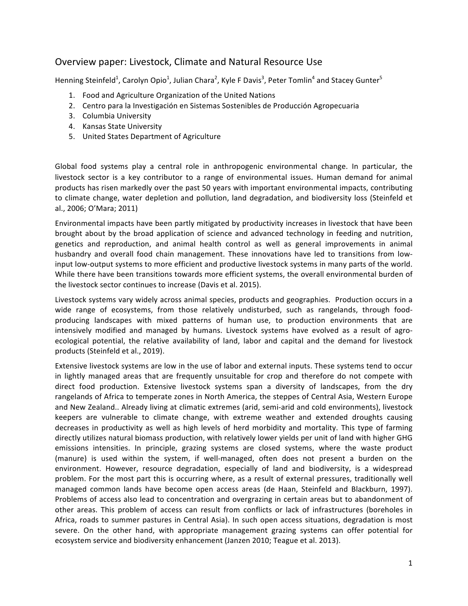# Overview paper: Livestock, Climate and Natural Resource Use

Henning Steinfeld<sup>1</sup>, Carolyn Opio<sup>1</sup>, Julian Chara<sup>2</sup>, Kyle F Davis<sup>3</sup>, Peter Tomlin<sup>4</sup> and Stacey Gunter<sup>5</sup>

- 1. Food and Agriculture Organization of the United Nations
- 2. Centro para la Investigación en Sistemas Sostenibles de Producción Agropecuaria
- 3. Columbia University
- 4. Kansas State University
- 5. United States Department of Agriculture

Global food systems play a central role in anthropogenic environmental change. In particular, the livestock sector is a key contributor to a range of environmental issues. Human demand for animal products has risen markedly over the past 50 years with important environmental impacts, contributing to climate change, water depletion and pollution, land degradation, and biodiversity loss (Steinfeld et al., 2006; O'Mara; 2011)

Environmental impacts have been partly mitigated by productivity increases in livestock that have been brought about by the broad application of science and advanced technology in feeding and nutrition, genetics and reproduction, and animal health control as well as general improvements in animal husbandry and overall food chain management. These innovations have led to transitions from lowinput low-output systems to more efficient and productive livestock systems in many parts of the world. While there have been transitions towards more efficient systems, the overall environmental burden of the livestock sector continues to increase (Davis et al. 2015).

Livestock systems vary widely across animal species, products and geographies. Production occurs in a wide range of ecosystems, from those relatively undisturbed, such as rangelands, through foodproducing landscapes with mixed patterns of human use, to production environments that are intensively modified and managed by humans. Livestock systems have evolved as a result of agroecological potential, the relative availability of land, labor and capital and the demand for livestock products (Steinfeld et al., 2019).

Extensive livestock systems are low in the use of labor and external inputs. These systems tend to occur in lightly managed areas that are frequently unsuitable for crop and therefore do not compete with direct food production. Extensive livestock systems span a diversity of landscapes, from the dry rangelands of Africa to temperate zones in North America, the steppes of Central Asia, Western Europe and New Zealand.. Already living at climatic extremes (arid, semi-arid and cold environments), livestock keepers are vulnerable to climate change, with extreme weather and extended droughts causing decreases in productivity as well as high levels of herd morbidity and mortality. This type of farming directly utilizes natural biomass production, with relatively lower yields per unit of land with higher GHG emissions intensities. In principle, grazing systems are closed systems, where the waste product (manure) is used within the system, if well-managed, often does not present a burden on the environment. However, resource degradation, especially of land and biodiversity, is a widespread problem. For the most part this is occurring where, as a result of external pressures, traditionally well managed common lands have become open access areas (de Haan, Steinfeld and Blackburn, 1997). Problems of access also lead to concentration and overgrazing in certain areas but to abandonment of other areas. This problem of access can result from conflicts or lack of infrastructures (boreholes in Africa, roads to summer pastures in Central Asia). In such open access situations, degradation is most severe. On the other hand, with appropriate management grazing systems can offer potential for ecosystem service and biodiversity enhancement (Janzen 2010; Teague et al. 2013).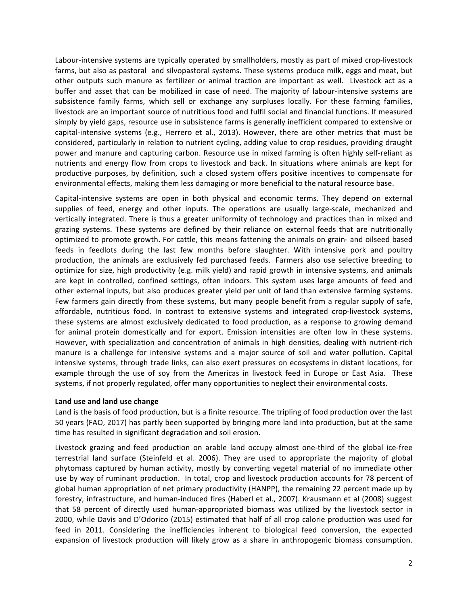Labour-intensive systems are typically operated by smallholders, mostly as part of mixed crop-livestock farms, but also as pastoral and silvopastoral systems. These systems produce milk, eggs and meat, but other outputs such manure as fertilizer or animal traction are important as well. Livestock act as a buffer and asset that can be mobilized in case of need. The majority of labour-intensive systems are subsistence family farms, which sell or exchange any surpluses locally. For these farming families, livestock are an important source of nutritious food and fulfil social and financial functions. If measured simply by yield gaps, resource use in subsistence farms is generally inefficient compared to extensive or capital-intensive systems (e.g., Herrero et al., 2013). However, there are other metrics that must be considered, particularly in relation to nutrient cycling, adding value to crop residues, providing draught power and manure and capturing carbon. Resource use in mixed farming is often highly self-reliant as nutrients and energy flow from crops to livestock and back. In situations where animals are kept for productive purposes, by definition, such a closed system offers positive incentives to compensate for environmental effects, making them less damaging or more beneficial to the natural resource base.

Capital-intensive systems are open in both physical and economic terms. They depend on external supplies of feed, energy and other inputs. The operations are usually large-scale, mechanized and vertically integrated. There is thus a greater uniformity of technology and practices than in mixed and grazing systems. These systems are defined by their reliance on external feeds that are nutritionally optimized to promote growth. For cattle, this means fattening the animals on grain- and oilseed based feeds in feedlots during the last few months before slaughter. With intensive pork and poultry production, the animals are exclusively fed purchased feeds. Farmers also use selective breeding to optimize for size, high productivity (e.g. milk yield) and rapid growth in intensive systems, and animals are kept in controlled, confined settings, often indoors. This system uses large amounts of feed and other external inputs, but also produces greater yield per unit of land than extensive farming systems. Few farmers gain directly from these systems, but many people benefit from a regular supply of safe, affordable, nutritious food. In contrast to extensive systems and integrated crop-livestock systems, these systems are almost exclusively dedicated to food production, as a response to growing demand for animal protein domestically and for export. Emission intensities are often low in these systems. However, with specialization and concentration of animals in high densities, dealing with nutrient-rich manure is a challenge for intensive systems and a major source of soil and water pollution. Capital intensive systems, through trade links, can also exert pressures on ecosystems in distant locations, for example through the use of soy from the Americas in livestock feed in Europe or East Asia. These systems, if not properly regulated, offer many opportunities to neglect their environmental costs.

## Land use and land use change

Land is the basis of food production, but is a finite resource. The tripling of food production over the last 50 years (FAO, 2017) has partly been supported by bringing more land into production, but at the same time has resulted in significant degradation and soil erosion.

Livestock grazing and feed production on arable land occupy almost one-third of the global ice-free terrestrial land surface (Steinfeld et al. 2006). They are used to appropriate the majority of global phytomass captured by human activity, mostly by converting vegetal material of no immediate other use by way of ruminant production. In total, crop and livestock production accounts for 78 percent of global human appropriation of net primary productivity (HANPP), the remaining 22 percent made up by forestry, infrastructure, and human-induced fires (Haberl et al., 2007). Krausmann et al (2008) suggest that 58 percent of directly used human-appropriated biomass was utilized by the livestock sector in 2000, while Davis and D'Odorico (2015) estimated that half of all crop calorie production was used for feed in 2011. Considering the inefficiencies inherent to biological feed conversion, the expected expansion of livestock production will likely grow as a share in anthropogenic biomass consumption.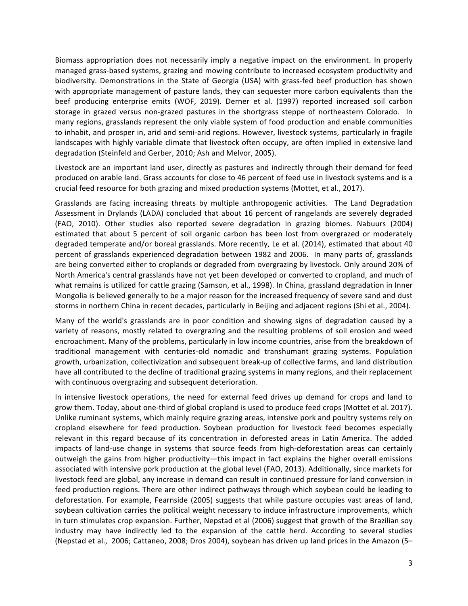Biomass appropriation does not necessarily imply a negative impact on the environment. In properly managed grass-based systems, grazing and mowing contribute to increased ecosystem productivity and biodiversity. Demonstrations in the State of Georgia (USA) with grass-fed beef production has shown with appropriate management of pasture lands, they can sequester more carbon equivalents than the beef producing enterprise emits (WOF, 2019). Derner et al. (1997) reported increased soil carbon storage in grazed versus non-grazed pastures in the shortgrass steppe of northeastern Colorado. In many regions, grasslands represent the only viable system of food production and enable communities to inhabit, and prosper in, arid and semi-arid regions. However, livestock systems, particularly in fragile landscapes with highly variable climate that livestock often occupy, are often implied in extensive land degradation (Steinfeld and Gerber, 2010; Ash and Melvor, 2005).

Livestock are an important land user, directly as pastures and indirectly through their demand for feed produced on arable land. Grass accounts for close to 46 percent of feed use in livestock systems and is a crucial feed resource for both grazing and mixed production systems (Mottet, et al., 2017).

Grasslands are facing increasing threats by multiple anthropogenic activities. The Land Degradation Assessment in Drylands (LADA) concluded that about 16 percent of rangelands are severely degraded (FAO, 2010). Other studies also reported severe degradation in grazing biomes. Nabuurs (2004) estimated that about 5 percent of soil organic carbon has been lost from overgrazed or moderately degraded temperate and/or boreal grasslands. More recently, Le et al. (2014), estimated that about 40 percent of grasslands experienced degradation between 1982 and 2006. In many parts of, grasslands are being converted either to croplands or degraded from overgrazing by livestock. Only around 20% of North America's central grasslands have not yet been developed or converted to cropland, and much of what remains is utilized for cattle grazing (Samson, et al., 1998). In China, grassland degradation in Inner Mongolia is believed generally to be a major reason for the increased frequency of severe sand and dust storms in northern China in recent decades, particularly in Beijing and adjacent regions (Shi et al., 2004).

Many of the world's grasslands are in poor condition and showing signs of degradation caused by a variety of reasons, mostly related to overgrazing and the resulting problems of soil erosion and weed encroachment. Many of the problems, particularly in low income countries, arise from the breakdown of traditional management with centuries-old nomadic and transhumant grazing systems. Population growth, urbanization, collectivization and subsequent break-up of collective farms, and land distribution have all contributed to the decline of traditional grazing systems in many regions, and their replacement with continuous overgrazing and subsequent deterioration.

In intensive livestock operations, the need for external feed drives up demand for crops and land to grow them. Today, about one-third of global cropland is used to produce feed crops (Mottet et al. 2017). Unlike ruminant systems, which mainly require grazing areas, intensive pork and poultry systems rely on cropland elsewhere for feed production. Soybean production for livestock feed becomes especially relevant in this regard because of its concentration in deforested areas in Latin America. The added impacts of land-use change in systems that source feeds from high-deforestation areas can certainly outweigh the gains from higher productivity—this impact in fact explains the higher overall emissions associated with intensive pork production at the global level (FAO, 2013). Additionally, since markets for livestock feed are global, any increase in demand can result in continued pressure for land conversion in feed production regions. There are other indirect pathways through which soybean could be leading to deforestation. For example, Fearnside (2005) suggests that while pasture occupies vast areas of land, soybean cultivation carries the political weight necessary to induce infrastructure improvements, which in turn stimulates crop expansion. Further, Nepstad et al (2006) suggest that growth of the Brazilian soy industry may have indirectly led to the expansion of the cattle herd. According to several studies (Nepstad et al., 2006; Cattaneo, 2008; Dros 2004), soybean has driven up land prices in the Amazon (5–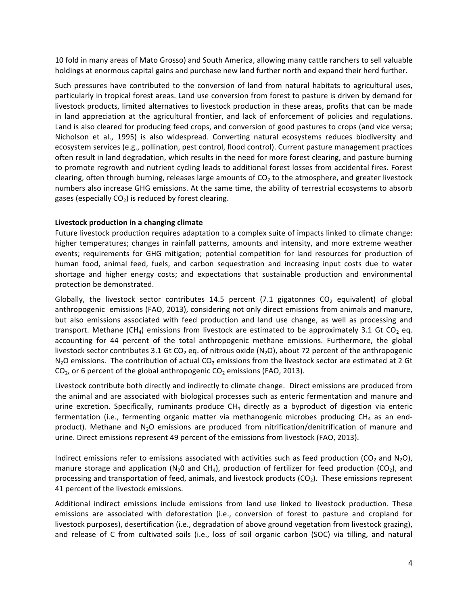10 fold in many areas of Mato Grosso) and South America, allowing many cattle ranchers to sell valuable holdings at enormous capital gains and purchase new land further north and expand their herd further.

Such pressures have contributed to the conversion of land from natural habitats to agricultural uses, particularly in tropical forest areas. Land use conversion from forest to pasture is driven by demand for livestock products, limited alternatives to livestock production in these areas, profits that can be made in land appreciation at the agricultural frontier, and lack of enforcement of policies and regulations. Land is also cleared for producing feed crops, and conversion of good pastures to crops (and vice versa; Nicholson et al., 1995) is also widespread. Converting natural ecosystems reduces biodiversity and ecosystem services (e.g., pollination, pest control, flood control). Current pasture management practices often result in land degradation, which results in the need for more forest clearing, and pasture burning to promote regrowth and nutrient cycling leads to additional forest losses from accidental fires. Forest clearing, often through burning, releases large amounts of  $CO<sub>2</sub>$  to the atmosphere, and greater livestock numbers also increase GHG emissions. At the same time, the ability of terrestrial ecosystems to absorb gases (especially  $CO<sub>2</sub>$ ) is reduced by forest clearing.

### Livestock production in a changing climate

Future livestock production requires adaptation to a complex suite of impacts linked to climate change: higher temperatures; changes in rainfall patterns, amounts and intensity, and more extreme weather events; requirements for GHG mitigation; potential competition for land resources for production of human food, animal feed, fuels, and carbon sequestration and increasing input costs due to water shortage and higher energy costs; and expectations that sustainable production and environmental protection be demonstrated.

Globally, the livestock sector contributes 14.5 percent (7.1 gigatonnes  $CO<sub>2</sub>$  equivalent) of global anthropogenic emissions (FAO, 2013), considering not only direct emissions from animals and manure, but also emissions associated with feed production and land use change, as well as processing and transport. Methane  $(CH_4)$  emissions from livestock are estimated to be approximately 3.1 Gt CO<sub>2</sub> eq. accounting for 44 percent of the total anthropogenic methane emissions. Furthermore, the global livestock sector contributes 3.1 Gt CO<sub>2</sub> eq. of nitrous oxide (N<sub>2</sub>O), about 72 percent of the anthropogenic  $N_2$ O emissions. The contribution of actual  $CO_2$  emissions from the livestock sector are estimated at 2 Gt  $CO<sub>2</sub>$ , or 6 percent of the global anthropogenic  $CO<sub>2</sub>$  emissions (FAO, 2013).

Livestock contribute both directly and indirectly to climate change. Direct emissions are produced from the animal and are associated with biological processes such as enteric fermentation and manure and urine excretion. Specifically, ruminants produce  $CH_4$  directly as a byproduct of digestion via enteric fermentation (i.e., fermenting organic matter via methanogenic microbes producing  $CH_4$  as an endproduct). Methane and  $N_2O$  emissions are produced from nitrification/denitrification of manure and urine. Direct emissions represent 49 percent of the emissions from livestock (FAO, 2013).

Indirect emissions refer to emissions associated with activities such as feed production (CO<sub>2</sub> and N<sub>2</sub>O), manure storage and application (N<sub>2</sub>O and CH<sub>4</sub>), production of fertilizer for feed production (CO<sub>2</sub>), and processing and transportation of feed, animals, and livestock products ( $CO<sub>2</sub>$ ). These emissions represent 41 percent of the livestock emissions.

Additional indirect emissions include emissions from land use linked to livestock production. These emissions are associated with deforestation (i.e., conversion of forest to pasture and cropland for livestock purposes), desertification (i.e., degradation of above ground vegetation from livestock grazing), and release of C from cultivated soils (i.e., loss of soil organic carbon (SOC) via tilling, and natural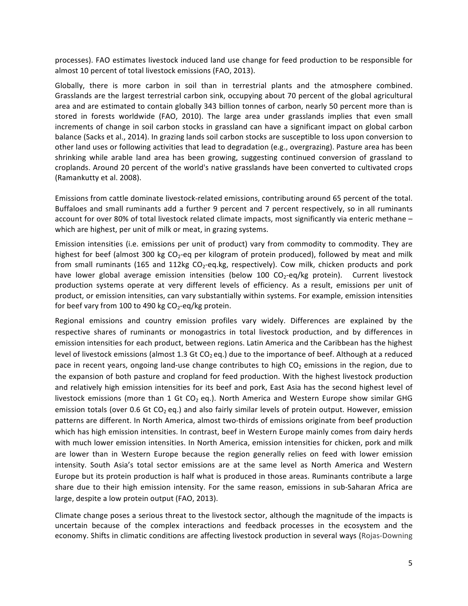processes). FAO estimates livestock induced land use change for feed production to be responsible for almost 10 percent of total livestock emissions (FAO, 2013).

Globally, there is more carbon in soil than in terrestrial plants and the atmosphere combined. Grasslands are the largest terrestrial carbon sink, occupying about 70 percent of the global agricultural area and are estimated to contain globally 343 billion tonnes of carbon, nearly 50 percent more than is stored in forests worldwide (FAO, 2010). The large area under grasslands implies that even small increments of change in soil carbon stocks in grassland can have a significant impact on global carbon balance (Sacks et al., 2014). In grazing lands soil carbon stocks are susceptible to loss upon conversion to other land uses or following activities that lead to degradation (e.g., overgrazing). Pasture area has been shrinking while arable land area has been growing, suggesting continued conversion of grassland to croplands. Around 20 percent of the world's native grasslands have been converted to cultivated crops (Ramankutty et al. 2008).

Emissions from cattle dominate livestock-related emissions, contributing around 65 percent of the total. Buffaloes and small ruminants add a further 9 percent and 7 percent respectively, so in all ruminants account for over 80% of total livestock related climate impacts, most significantly via enteric methane which are highest, per unit of milk or meat, in grazing systems.

Emission intensities (i.e. emissions per unit of product) vary from commodity to commodity. They are highest for beef (almost 300 kg  $CO<sub>2</sub>$ -eq per kilogram of protein produced), followed by meat and milk from small ruminants (165 and 112kg  $CO<sub>2</sub>$ -eq.kg, respectively). Cow milk, chicken products and pork have lower global average emission intensities (below 100  $CO_2$ -eq/kg protein). Current livestock production systems operate at very different levels of efficiency. As a result, emissions per unit of product, or emission intensities, can vary substantially within systems. For example, emission intensities for beef vary from 100 to 490 kg  $CO_2$ -eq/kg protein.

Regional emissions and country emission profiles vary widely. Differences are explained by the respective shares of ruminants or monogastrics in total livestock production, and by differences in emission intensities for each product, between regions. Latin America and the Caribbean has the highest level of livestock emissions (almost 1.3 Gt CO<sub>2</sub> eq.) due to the importance of beef. Although at a reduced pace in recent years, ongoing land-use change contributes to high  $CO<sub>2</sub>$  emissions in the region, due to the expansion of both pasture and cropland for feed production. With the highest livestock production and relatively high emission intensities for its beef and pork, East Asia has the second highest level of livestock emissions (more than 1 Gt CO<sub>2</sub> eq.). North America and Western Europe show similar GHG emission totals (over 0.6 Gt CO<sub>2</sub> eq.) and also fairly similar levels of protein output. However, emission patterns are different. In North America, almost two-thirds of emissions originate from beef production which has high emission intensities. In contrast, beef in Western Europe mainly comes from dairy herds with much lower emission intensities. In North America, emission intensities for chicken, pork and milk are lower than in Western Europe because the region generally relies on feed with lower emission intensity. South Asia's total sector emissions are at the same level as North America and Western Europe but its protein production is half what is produced in those areas. Ruminants contribute a large share due to their high emission intensity. For the same reason, emissions in sub-Saharan Africa are large, despite a low protein output (FAO, 2013).

Climate change poses a serious threat to the livestock sector, although the magnitude of the impacts is uncertain because of the complex interactions and feedback processes in the ecosystem and the economy. Shifts in climatic conditions are affecting livestock production in several ways (Rojas-Downing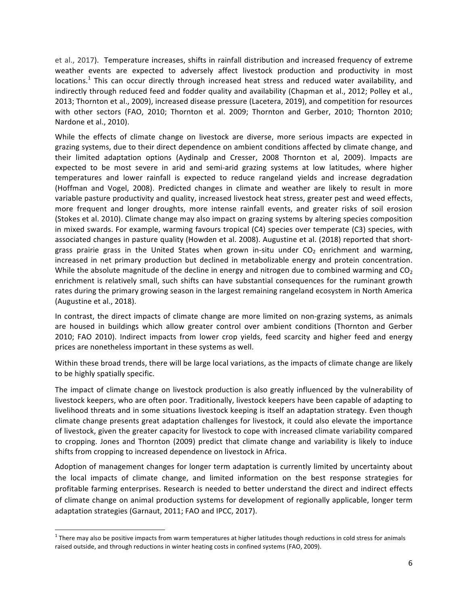et al., 2017). Temperature increases, shifts in rainfall distribution and increased frequency of extreme weather events are expected to adversely affect livestock production and productivity in most locations.<sup>1</sup> This can occur directly through increased heat stress and reduced water availability, and indirectly through reduced feed and fodder quality and availability (Chapman et al., 2012; Polley et al., 2013; Thornton et al., 2009), increased disease pressure (Lacetera, 2019), and competition for resources with other sectors (FAO, 2010; Thornton et al. 2009; Thornton and Gerber, 2010; Thornton 2010; Nardone et al., 2010).

While the effects of climate change on livestock are diverse, more serious impacts are expected in grazing systems, due to their direct dependence on ambient conditions affected by climate change, and their limited adaptation options (Aydinalp and Cresser, 2008 Thornton et al, 2009). Impacts are expected to be most severe in arid and semi-arid grazing systems at low latitudes, where higher temperatures and lower rainfall is expected to reduce rangeland yields and increase degradation (Hoffman and Vogel, 2008). Predicted changes in climate and weather are likely to result in more variable pasture productivity and quality, increased livestock heat stress, greater pest and weed effects, more frequent and longer droughts, more intense rainfall events, and greater risks of soil erosion (Stokes et al. 2010). Climate change may also impact on grazing systems by altering species composition in mixed swards. For example, warming favours tropical (C4) species over temperate (C3) species, with associated changes in pasture quality (Howden et al. 2008). Augustine et al. (2018) reported that shortgrass prairie grass in the United States when grown in-situ under  $CO<sub>2</sub>$  enrichment and warming, increased in net primary production but declined in metabolizable energy and protein concentration. While the absolute magnitude of the decline in energy and nitrogen due to combined warming and  $CO<sub>2</sub>$ enrichment is relatively small, such shifts can have substantial consequences for the ruminant growth rates during the primary growing season in the largest remaining rangeland ecosystem in North America (Augustine et al., 2018).

In contrast, the direct impacts of climate change are more limited on non-grazing systems, as animals are housed in buildings which allow greater control over ambient conditions (Thornton and Gerber 2010; FAO 2010). Indirect impacts from lower crop yields, feed scarcity and higher feed and energy prices are nonetheless important in these systems as well.

Within these broad trends, there will be large local variations, as the impacts of climate change are likely to be highly spatially specific.

The impact of climate change on livestock production is also greatly influenced by the vulnerability of livestock keepers, who are often poor. Traditionally, livestock keepers have been capable of adapting to livelihood threats and in some situations livestock keeping is itself an adaptation strategy. Even though climate change presents great adaptation challenges for livestock, it could also elevate the importance of livestock, given the greater capacity for livestock to cope with increased climate variability compared to cropping. Jones and Thornton (2009) predict that climate change and variability is likely to induce shifts from cropping to increased dependence on livestock in Africa.

Adoption of management changes for longer term adaptation is currently limited by uncertainty about the local impacts of climate change, and limited information on the best response strategies for profitable farming enterprises. Research is needed to better understand the direct and indirect effects of climate change on animal production systems for development of regionally applicable, longer term adaptation strategies (Garnaut, 2011; FAO and IPCC, 2017).

 $1$  There may also be positive impacts from warm temperatures at higher latitudes though reductions in cold stress for animals raised outside, and through reductions in winter heating costs in confined systems (FAO, 2009).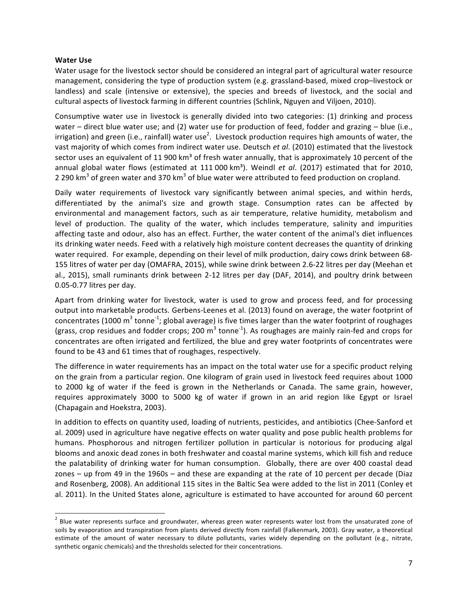### **Water Use**

Water usage for the livestock sector should be considered an integral part of agricultural water resource management, considering the type of production system (e.g. grassland-based, mixed crop–livestock or landless) and scale (intensive or extensive), the species and breeds of livestock, and the social and cultural aspects of livestock farming in different countries (Schlink, Nguyen and Viljoen, 2010).

Consumptive water use in livestock is generally divided into two categories: (1) drinking and process water – direct blue water use; and (2) water use for production of feed, fodder and grazing – blue (i.e., irrigation) and green (i.e., rainfall) water use<sup>2</sup>. Livestock production requires high amounts of water, the vast majority of which comes from indirect water use. Deutsch et al. (2010) estimated that the livestock sector uses an equivalent of 11 900 km<sup>3</sup> of fresh water annually, that is approximately 10 percent of the annual global water flows (estimated at 111 000 km<sup>3</sup>). Weindl *et al.* (2017) estimated that for 2010, 2 290 km<sup>3</sup> of green water and 370 km<sup>3</sup> of blue water were attributed to feed production on cropland.

Daily water requirements of livestock vary significantly between animal species, and within herds, differentiated by the animal's size and growth stage. Consumption rates can be affected by environmental and management factors, such as air temperature, relative humidity, metabolism and level of production. The quality of the water, which includes temperature, salinity and impurities affecting taste and odour, also has an effect. Further, the water content of the animal's diet influences its drinking water needs. Feed with a relatively high moisture content decreases the quantity of drinking water required. For example, depending on their level of milk production, dairy cows drink between 68-155 litres of water per day (OMAFRA, 2015), while swine drink between 2.6-22 litres per day (Meehan et al., 2015), small ruminants drink between 2-12 litres per day (DAF, 2014), and poultry drink between 0.05-0.77 litres per day.

Apart from drinking water for livestock, water is used to grow and process feed, and for processing output into marketable products. Gerbens-Leenes et al. (2013) found on average, the water footprint of concentrates (1000 m<sup>3</sup> tonne<sup>-1</sup>; global average) is five times larger than the water footprint of roughages (grass, crop residues and fodder crops; 200  $m^3$  tonne<sup>-1</sup>). As roughages are mainly rain-fed and crops for concentrates are often irrigated and fertilized, the blue and grey water footprints of concentrates were found to be 43 and 61 times that of roughages, respectively.

The difference in water requirements has an impact on the total water use for a specific product relying on the grain from a particular region. One kilogram of grain used in livestock feed requires about 1000 to 2000 kg of water if the feed is grown in the Netherlands or Canada. The same grain, however, requires approximately 3000 to 5000 kg of water if grown in an arid region like Egypt or Israel (Chapagain and Hoekstra, 2003).

In addition to effects on quantity used, loading of nutrients, pesticides, and antibiotics (Chee-Sanford et al. 2009) used in agriculture have negative effects on water quality and pose public health problems for humans. Phosphorous and nitrogen fertilizer pollution in particular is notorious for producing algal blooms and anoxic dead zones in both freshwater and coastal marine systems, which kill fish and reduce the palatability of drinking water for human consumption. Globally, there are over 400 coastal dead zones – up from 49 in the 1960s – and these are expanding at the rate of 10 percent per decade (Diaz and Rosenberg, 2008). An additional 115 sites in the Baltic Sea were added to the list in 2011 (Conley et al. 2011). In the United States alone, agriculture is estimated to have accounted for around 60 percent

 $2$  Blue water represents surface and groundwater, whereas green water represents water lost from the unsaturated zone of soils by evaporation and transpiration from plants derived directly from rainfall (Falkenmark, 2003). Gray water, a theoretical estimate of the amount of water necessary to dilute pollutants, varies widely depending on the pollutant (e.g., nitrate, synthetic organic chemicals) and the thresholds selected for their concentrations.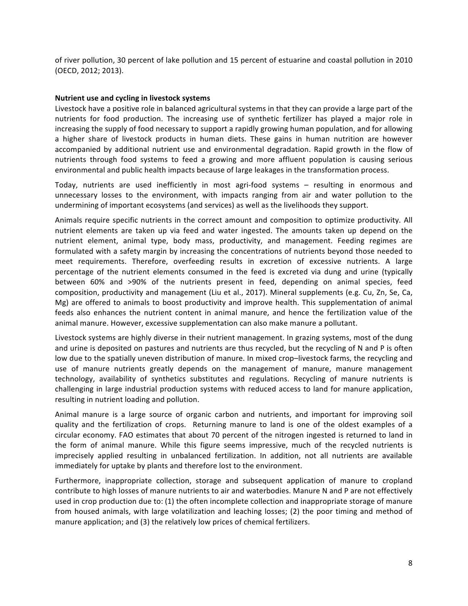of river pollution, 30 percent of lake pollution and 15 percent of estuarine and coastal pollution in 2010 (OECD, 2012; 2013).

### **Nutrient use and cycling in livestock systems**

Livestock have a positive role in balanced agricultural systems in that they can provide a large part of the nutrients for food production. The increasing use of synthetic fertilizer has played a major role in increasing the supply of food necessary to support a rapidly growing human population, and for allowing a higher share of livestock products in human diets. These gains in human nutrition are however accompanied by additional nutrient use and environmental degradation. Rapid growth in the flow of nutrients through food systems to feed a growing and more affluent population is causing serious environmental and public health impacts because of large leakages in the transformation process.

Today, nutrients are used inefficiently in most agri-food systems - resulting in enormous and unnecessary losses to the environment, with impacts ranging from air and water pollution to the undermining of important ecosystems (and services) as well as the livelihoods they support.

Animals require specific nutrients in the correct amount and composition to optimize productivity. All nutrient elements are taken up via feed and water ingested. The amounts taken up depend on the nutrient element, animal type, body mass, productivity, and management. Feeding regimes are formulated with a safety margin by increasing the concentrations of nutrients beyond those needed to meet requirements. Therefore, overfeeding results in excretion of excessive nutrients. A large percentage of the nutrient elements consumed in the feed is excreted via dung and urine (typically between 60% and >90% of the nutrients present in feed, depending on animal species, feed composition, productivity and management (Liu et al., 2017). Mineral supplements (e.g. Cu, Zn, Se, Ca, Mg) are offered to animals to boost productivity and improve health. This supplementation of animal feeds also enhances the nutrient content in animal manure, and hence the fertilization value of the animal manure. However, excessive supplementation can also make manure a pollutant.

Livestock systems are highly diverse in their nutrient management. In grazing systems, most of the dung and urine is deposited on pastures and nutrients are thus recycled, but the recycling of N and P is often low due to the spatially uneven distribution of manure. In mixed crop–livestock farms, the recycling and use of manure nutrients greatly depends on the management of manure, manure management technology, availability of synthetics substitutes and regulations. Recycling of manure nutrients is challenging in large industrial production systems with reduced access to land for manure application, resulting in nutrient loading and pollution.

Animal manure is a large source of organic carbon and nutrients, and important for improving soil quality and the fertilization of crops. Returning manure to land is one of the oldest examples of a circular economy. FAO estimates that about 70 percent of the nitrogen ingested is returned to land in the form of animal manure. While this figure seems impressive, much of the recycled nutrients is imprecisely applied resulting in unbalanced fertilization. In addition, not all nutrients are available immediately for uptake by plants and therefore lost to the environment.

Furthermore, inappropriate collection, storage and subsequent application of manure to cropland contribute to high losses of manure nutrients to air and waterbodies. Manure N and P are not effectively used in crop production due to: (1) the often incomplete collection and inappropriate storage of manure from housed animals, with large volatilization and leaching losses; (2) the poor timing and method of manure application; and (3) the relatively low prices of chemical fertilizers.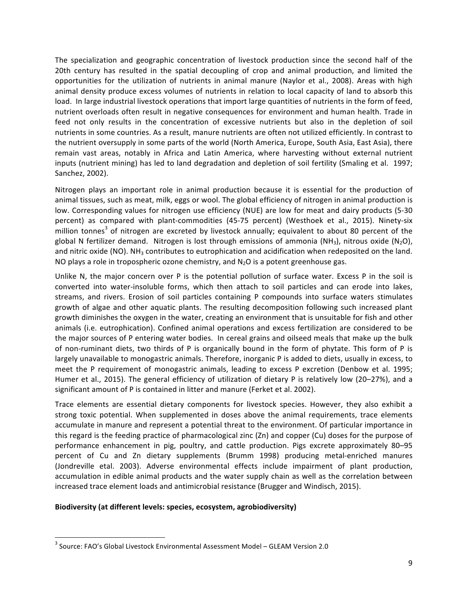The specialization and geographic concentration of livestock production since the second half of the 20th century has resulted in the spatial decoupling of crop and animal production, and limited the opportunities for the utilization of nutrients in animal manure (Naylor et al., 2008). Areas with high animal density produce excess volumes of nutrients in relation to local capacity of land to absorb this load. In large industrial livestock operations that import large quantities of nutrients in the form of feed, nutrient overloads often result in negative consequences for environment and human health. Trade in feed not only results in the concentration of excessive nutrients but also in the depletion of soil nutrients in some countries. As a result, manure nutrients are often not utilized efficiently. In contrast to the nutrient oversupply in some parts of the world (North America, Europe, South Asia, East Asia), there remain vast areas, notably in Africa and Latin America, where harvesting without external nutrient inputs (nutrient mining) has led to land degradation and depletion of soil fertility (Smaling et al. 1997; Sanchez, 2002).

Nitrogen plays an important role in animal production because it is essential for the production of animal tissues, such as meat, milk, eggs or wool. The global efficiency of nitrogen in animal production is low. Corresponding values for nitrogen use efficiency (NUE) are low for meat and dairy products (5-30 percent) as compared with plant-commodities (45-75 percent) (Westhoek et al., 2015). Ninety-six million tonnes<sup>3</sup> of nitrogen are excreted by livestock annually; equivalent to about 80 percent of the global N fertilizer demand. Nitrogen is lost through emissions of ammonia (NH<sub>3</sub>), nitrous oxide (N<sub>2</sub>O), and nitric oxide (NO). NH<sub>3</sub> contributes to eutrophication and acidification when redeposited on the land. NO plays a role in tropospheric ozone chemistry, and  $N_2O$  is a potent greenhouse gas.

Unlike N, the major concern over P is the potential pollution of surface water. Excess P in the soil is converted into water-insoluble forms, which then attach to soil particles and can erode into lakes, streams, and rivers. Erosion of soil particles containing P compounds into surface waters stimulates growth of algae and other aquatic plants. The resulting decomposition following such increased plant growth diminishes the oxygen in the water, creating an environment that is unsuitable for fish and other animals (i.e. eutrophication). Confined animal operations and excess fertilization are considered to be the major sources of P entering water bodies. In cereal grains and oilseed meals that make up the bulk of non-ruminant diets, two thirds of P is organically bound in the form of phytate. This form of P is largely unavailable to monogastric animals. Therefore, inorganic P is added to diets, usually in excess, to meet the P requirement of monogastric animals, leading to excess P excretion (Denbow et al. 1995; Humer et al., 2015). The general efficiency of utilization of dietary P is relatively low (20–27%), and a significant amount of P is contained in litter and manure (Ferket et al. 2002).

Trace elements are essential dietary components for livestock species. However, they also exhibit a strong toxic potential. When supplemented in doses above the animal requirements, trace elements accumulate in manure and represent a potential threat to the environment. Of particular importance in this regard is the feeding practice of pharmacological zinc  $(Zn)$  and copper  $(Cu)$  doses for the purpose of performance enhancement in pig, poultry, and cattle production. Pigs excrete approximately 80-95 percent of Cu and Zn dietary supplements (Brumm 1998) producing metal-enriched manures (Jondreville etal. 2003). Adverse environmental effects include impairment of plant production, accumulation in edible animal products and the water supply chain as well as the correlation between increased trace element loads and antimicrobial resistance (Brugger and Windisch, 2015).

#### Biodiversity (at different levels: species, ecosystem, agrobiodiversity)

<u> 1989 - Johann Stein, markin film yn y breninn y breninn y breninn y breninn y breninn y breninn y breninn y b</u>

 $3$  Source: FAO's Global Livestock Environmental Assessment Model – GLEAM Version 2.0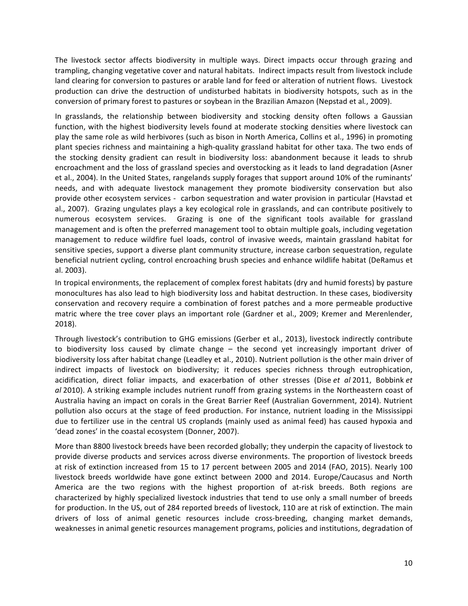The livestock sector affects biodiversity in multiple ways. Direct impacts occur through grazing and trampling, changing vegetative cover and natural habitats. Indirect impacts result from livestock include land clearing for conversion to pastures or arable land for feed or alteration of nutrient flows. Livestock production can drive the destruction of undisturbed habitats in biodiversity hotspots, such as in the conversion of primary forest to pastures or soybean in the Brazilian Amazon (Nepstad et al., 2009).

In grasslands, the relationship between biodiversity and stocking density often follows a Gaussian function, with the highest biodiversity levels found at moderate stocking densities where livestock can play the same role as wild herbivores (such as bison in North America, Collins et al., 1996) in promoting plant species richness and maintaining a high-quality grassland habitat for other taxa. The two ends of the stocking density gradient can result in biodiversity loss: abandonment because it leads to shrub encroachment and the loss of grassland species and overstocking as it leads to land degradation (Asner et al., 2004). In the United States, rangelands supply forages that support around 10% of the ruminants' needs, and with adequate livestock management they promote biodiversity conservation but also provide other ecosystem services - carbon sequestration and water provision in particular (Havstad et al., 2007). Grazing ungulates plays a key ecological role in grasslands, and can contribute positively to numerous ecosystem services. Grazing is one of the significant tools available for grassland management and is often the preferred management tool to obtain multiple goals, including vegetation management to reduce wildfire fuel loads, control of invasive weeds, maintain grassland habitat for sensitive species, support a diverse plant community structure, increase carbon sequestration, regulate beneficial nutrient cycling, control encroaching brush species and enhance wildlife habitat (DeRamus et al. 2003).

In tropical environments, the replacement of complex forest habitats (dry and humid forests) by pasture monocultures has also lead to high biodiversity loss and habitat destruction. In these cases, biodiversity conservation and recovery require a combination of forest patches and a more permeable productive matric where the tree cover plays an important role (Gardner et al., 2009; Kremer and Merenlender, 2018). 

Through livestock's contribution to GHG emissions (Gerber et al., 2013), livestock indirectly contribute to biodiversity loss caused by climate change  $-$  the second yet increasingly important driver of biodiversity loss after habitat change (Leadley et al., 2010). Nutrient pollution is the other main driver of indirect impacts of livestock on biodiversity; it reduces species richness through eutrophication, acidification, direct foliar impacts, and exacerbation of other stresses (Dise *et al* 2011, Bobbink *et al* 2010). A striking example includes nutrient runoff from grazing systems in the Northeastern coast of Australia having an impact on corals in the Great Barrier Reef (Australian Government, 2014). Nutrient pollution also occurs at the stage of feed production. For instance, nutrient loading in the Mississippi due to fertilizer use in the central US croplands (mainly used as animal feed) has caused hypoxia and 'dead zones' in the coastal ecosystem (Donner, 2007).

More than 8800 livestock breeds have been recorded globally; they underpin the capacity of livestock to provide diverse products and services across diverse environments. The proportion of livestock breeds at risk of extinction increased from 15 to 17 percent between 2005 and 2014 (FAO, 2015). Nearly 100 livestock breeds worldwide have gone extinct between 2000 and 2014. Europe/Caucasus and North America are the two regions with the highest proportion of at-risk breeds. Both regions are characterized by highly specialized livestock industries that tend to use only a small number of breeds for production. In the US, out of 284 reported breeds of livestock, 110 are at risk of extinction. The main drivers of loss of animal genetic resources include cross-breeding, changing market demands, weaknesses in animal genetic resources management programs, policies and institutions, degradation of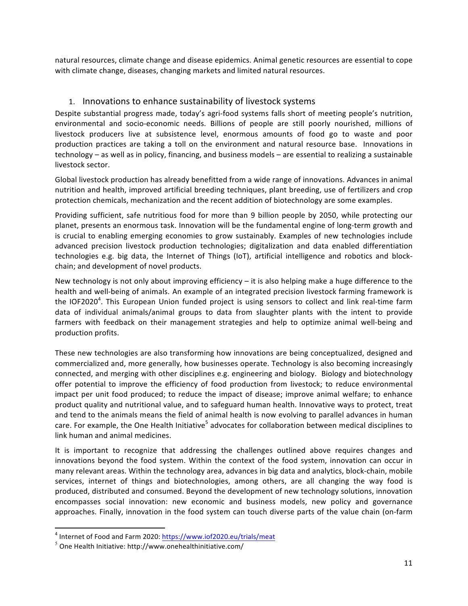natural resources, climate change and disease epidemics. Animal genetic resources are essential to cope with climate change, diseases, changing markets and limited natural resources.

## 1. Innovations to enhance sustainability of livestock systems

Despite substantial progress made, today's agri-food systems falls short of meeting people's nutrition, environmental and socio-economic needs. Billions of people are still poorly nourished, millions of livestock producers live at subsistence level, enormous amounts of food go to waste and poor production practices are taking a toll on the environment and natural resource base. Innovations in technology – as well as in policy, financing, and business models – are essential to realizing a sustainable livestock sector.

Global livestock production has already benefitted from a wide range of innovations. Advances in animal nutrition and health, improved artificial breeding techniques, plant breeding, use of fertilizers and crop protection chemicals, mechanization and the recent addition of biotechnology are some examples.

Providing sufficient, safe nutritious food for more than 9 billion people by 2050, while protecting our planet, presents an enormous task. Innovation will be the fundamental engine of long-term growth and is crucial to enabling emerging economies to grow sustainably. Examples of new technologies include advanced precision livestock production technologies; digitalization and data enabled differentiation technologies e.g. big data, the Internet of Things (IoT), artificial intelligence and robotics and blockchain; and development of novel products.

New technology is not only about improving efficiency  $-$  it is also helping make a huge difference to the health and well-being of animals. An example of an integrated precision livestock farming framework is the IOF2020<sup>4</sup>. This European Union funded project is using sensors to collect and link real-time farm data of individual animals/animal groups to data from slaughter plants with the intent to provide farmers with feedback on their management strategies and help to optimize animal well-being and production profits.

These new technologies are also transforming how innovations are being conceptualized, designed and commercialized and, more generally, how businesses operate. Technology is also becoming increasingly connected, and merging with other disciplines e.g. engineering and biology. Biology and biotechnology offer potential to improve the efficiency of food production from livestock; to reduce environmental impact per unit food produced; to reduce the impact of disease; improve animal welfare; to enhance product quality and nutritional value, and to safeguard human health. Innovative ways to protect, treat and tend to the animals means the field of animal health is now evolving to parallel advances in human care. For example, the One Health Initiative<sup>5</sup> advocates for collaboration between medical disciplines to link human and animal medicines.

It is important to recognize that addressing the challenges outlined above requires changes and innovations beyond the food system. Within the context of the food system, innovation can occur in many relevant areas. Within the technology area, advances in big data and analytics, block-chain, mobile services, internet of things and biotechnologies, among others, are all changing the way food is produced, distributed and consumed. Beyond the development of new technology solutions, innovation encompasses social innovation: new economic and business models, new policy and governance approaches. Finally, innovation in the food system can touch diverse parts of the value chain (on-farm

<u> 1989 - Johann Stein, markin film yn y breninn y breninn y breninn y breninn y breninn y breninn y breninn y b</u>

 $4$  Internet of Food and Farm 2020: https://www.iof2020.eu/trials/meat

 $5$  One Health Initiative: http://www.onehealthinitiative.com/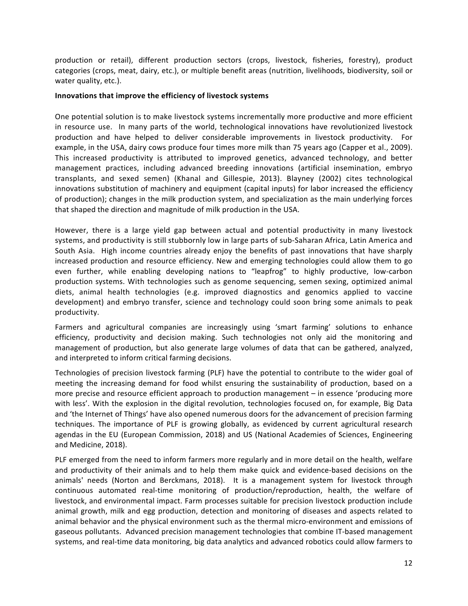production or retail), different production sectors (crops, livestock, fisheries, forestry), product categories (crops, meat, dairy, etc.), or multiple benefit areas (nutrition, livelihoods, biodiversity, soil or water quality, etc.).

### Innovations that improve the efficiency of livestock systems

One potential solution is to make livestock systems incrementally more productive and more efficient in resource use. In many parts of the world, technological innovations have revolutionized livestock production and have helped to deliver considerable improvements in livestock productivity. For example, in the USA, dairy cows produce four times more milk than 75 years ago (Capper et al., 2009). This increased productivity is attributed to improved genetics, advanced technology, and better management practices, including advanced breeding innovations (artificial insemination, embryo transplants, and sexed semen) (Khanal and Gillespie, 2013). Blayney (2002) cites technological innovations substitution of machinery and equipment (capital inputs) for labor increased the efficiency of production); changes in the milk production system, and specialization as the main underlying forces that shaped the direction and magnitude of milk production in the USA.

However, there is a large yield gap between actual and potential productivity in many livestock systems, and productivity is still stubbornly low in large parts of sub-Saharan Africa, Latin America and South Asia. High income countries already enjoy the benefits of past innovations that have sharply increased production and resource efficiency. New and emerging technologies could allow them to go even further, while enabling developing nations to "leapfrog" to highly productive, low-carbon production systems. With technologies such as genome sequencing, semen sexing, optimized animal diets, animal health technologies (e.g. improved diagnostics and genomics applied to vaccine development) and embryo transfer, science and technology could soon bring some animals to peak productivity.

Farmers and agricultural companies are increasingly using 'smart farming' solutions to enhance efficiency, productivity and decision making. Such technologies not only aid the monitoring and management of production, but also generate large volumes of data that can be gathered, analyzed, and interpreted to inform critical farming decisions.

Technologies of precision livestock farming (PLF) have the potential to contribute to the wider goal of meeting the increasing demand for food whilst ensuring the sustainability of production, based on a more precise and resource efficient approach to production management  $-$  in essence 'producing more with less'. With the explosion in the digital revolution, technologies focused on, for example, Big Data and 'the Internet of Things' have also opened numerous doors for the advancement of precision farming techniques. The importance of PLF is growing globally, as evidenced by current agricultural research agendas in the EU (European Commission, 2018) and US (National Academies of Sciences, Engineering and Medicine, 2018).

PLF emerged from the need to inform farmers more regularly and in more detail on the health, welfare and productivity of their animals and to help them make quick and evidence-based decisions on the animals' needs (Norton and Berckmans, 2018). It is a management system for livestock through continuous automated real-time monitoring of production/reproduction, health, the welfare of livestock, and environmental impact. Farm processes suitable for precision livestock production include animal growth, milk and egg production, detection and monitoring of diseases and aspects related to animal behavior and the physical environment such as the thermal micro-environment and emissions of gaseous pollutants. Advanced precision management technologies that combine IT-based management systems, and real-time data monitoring, big data analytics and advanced robotics could allow farmers to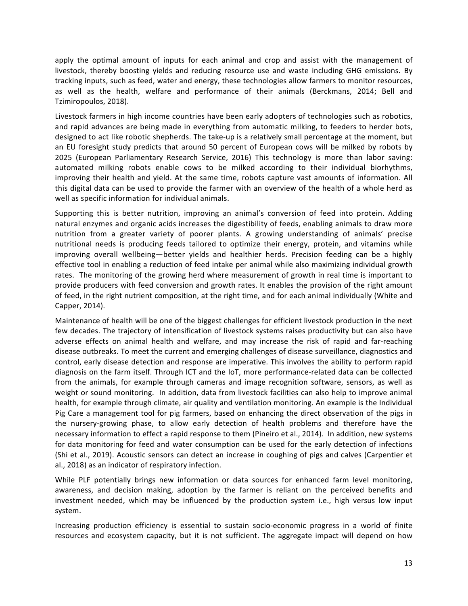apply the optimal amount of inputs for each animal and crop and assist with the management of livestock, thereby boosting yields and reducing resource use and waste including GHG emissions. By tracking inputs, such as feed, water and energy, these technologies allow farmers to monitor resources, as well as the health, welfare and performance of their animals (Berckmans, 2014; Bell and Tzimiropoulos, 2018).

Livestock farmers in high income countries have been early adopters of technologies such as robotics, and rapid advances are being made in everything from automatic milking, to feeders to herder bots, designed to act like robotic shepherds. The take-up is a relatively small percentage at the moment, but an EU foresight study predicts that around 50 percent of European cows will be milked by robots by 2025 (European Parliamentary Research Service, 2016) This technology is more than labor saving: automated milking robots enable cows to be milked according to their individual biorhythms, improving their health and yield. At the same time, robots capture vast amounts of information. All this digital data can be used to provide the farmer with an overview of the health of a whole herd as well as specific information for individual animals.

Supporting this is better nutrition, improving an animal's conversion of feed into protein. Adding natural enzymes and organic acids increases the digestibility of feeds, enabling animals to draw more nutrition from a greater variety of poorer plants. A growing understanding of animals' precise nutritional needs is producing feeds tailored to optimize their energy, protein, and vitamins while improving overall wellbeing—better yields and healthier herds. Precision feeding can be a highly effective tool in enabling a reduction of feed intake per animal while also maximizing individual growth rates. The monitoring of the growing herd where measurement of growth in real time is important to provide producers with feed conversion and growth rates. It enables the provision of the right amount of feed, in the right nutrient composition, at the right time, and for each animal individually (White and Capper, 2014).

Maintenance of health will be one of the biggest challenges for efficient livestock production in the next few decades. The trajectory of intensification of livestock systems raises productivity but can also have adverse effects on animal health and welfare, and may increase the risk of rapid and far-reaching disease outbreaks. To meet the current and emerging challenges of disease surveillance, diagnostics and control, early disease detection and response are imperative. This involves the ability to perform rapid diagnosis on the farm itself. Through ICT and the IoT, more performance-related data can be collected from the animals, for example through cameras and image recognition software, sensors, as well as weight or sound monitoring. In addition, data from livestock facilities can also help to improve animal health, for example through climate, air quality and ventilation monitoring. An example is the Individual Pig Care a management tool for pig farmers, based on enhancing the direct observation of the pigs in the nursery-growing phase, to allow early detection of health problems and therefore have the necessary information to effect a rapid response to them (Pineiro et al., 2014). In addition, new systems for data monitoring for feed and water consumption can be used for the early detection of infections (Shi et al., 2019). Acoustic sensors can detect an increase in coughing of pigs and calves (Carpentier et al., 2018) as an indicator of respiratory infection.

While PLF potentially brings new information or data sources for enhanced farm level monitoring, awareness, and decision making, adoption by the farmer is reliant on the perceived benefits and investment needed, which may be influenced by the production system i.e., high versus low input system.

Increasing production efficiency is essential to sustain socio-economic progress in a world of finite resources and ecosystem capacity, but it is not sufficient. The aggregate impact will depend on how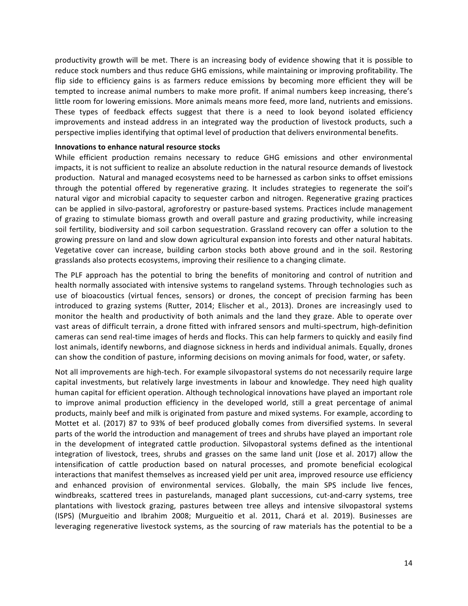productivity growth will be met. There is an increasing body of evidence showing that it is possible to reduce stock numbers and thus reduce GHG emissions, while maintaining or improving profitability. The flip side to efficiency gains is as farmers reduce emissions by becoming more efficient they will be tempted to increase animal numbers to make more profit. If animal numbers keep increasing, there's little room for lowering emissions. More animals means more feed, more land, nutrients and emissions. These types of feedback effects suggest that there is a need to look beyond isolated efficiency improvements and instead address in an integrated way the production of livestock products, such a perspective implies identifying that optimal level of production that delivers environmental benefits.

#### **Innovations to enhance natural resource stocks**

While efficient production remains necessary to reduce GHG emissions and other environmental impacts, it is not sufficient to realize an absolute reduction in the natural resource demands of livestock production. Natural and managed ecosystems need to be harnessed as carbon sinks to offset emissions through the potential offered by regenerative grazing. It includes strategies to regenerate the soil's natural vigor and microbial capacity to sequester carbon and nitrogen. Regenerative grazing practices can be applied in silvo-pastoral, agroforestry or pasture-based systems. Practices include management of grazing to stimulate biomass growth and overall pasture and grazing productivity, while increasing soil fertility, biodiversity and soil carbon sequestration. Grassland recovery can offer a solution to the growing pressure on land and slow down agricultural expansion into forests and other natural habitats. Vegetative cover can increase, building carbon stocks both above ground and in the soil. Restoring grasslands also protects ecosystems, improving their resilience to a changing climate.

The PLF approach has the potential to bring the benefits of monitoring and control of nutrition and health normally associated with intensive systems to rangeland systems. Through technologies such as use of bioacoustics (virtual fences, sensors) or drones, the concept of precision farming has been introduced to grazing systems (Rutter, 2014; Elischer et al., 2013). Drones are increasingly used to monitor the health and productivity of both animals and the land they graze. Able to operate over vast areas of difficult terrain, a drone fitted with infrared sensors and multi-spectrum, high-definition cameras can send real-time images of herds and flocks. This can help farmers to quickly and easily find lost animals, identify newborns, and diagnose sickness in herds and individual animals. Equally, drones can show the condition of pasture, informing decisions on moving animals for food, water, or safety.

Not all improvements are high-tech. For example silvopastoral systems do not necessarily require large capital investments, but relatively large investments in labour and knowledge. They need high quality human capital for efficient operation. Although technological innovations have played an important role to improve animal production efficiency in the developed world, still a great percentage of animal products, mainly beef and milk is originated from pasture and mixed systems. For example, according to Mottet et al. (2017) 87 to 93% of beef produced globally comes from diversified systems. In several parts of the world the introduction and management of trees and shrubs have played an important role in the development of integrated cattle production. Silvopastoral systems defined as the intentional integration of livestock, trees, shrubs and grasses on the same land unit (Jose et al. 2017) allow the intensification of cattle production based on natural processes, and promote beneficial ecological interactions that manifest themselves as increased yield per unit area, improved resource use efficiency and enhanced provision of environmental services. Globally, the main SPS include live fences, windbreaks, scattered trees in pasturelands, managed plant successions, cut-and-carry systems, tree plantations with livestock grazing, pastures between tree alleys and intensive silvopastoral systems (ISPS) (Murgueitio and Ibrahim 2008; Murgueitio et al. 2011, Chará et al. 2019). Businesses are leveraging regenerative livestock systems, as the sourcing of raw materials has the potential to be a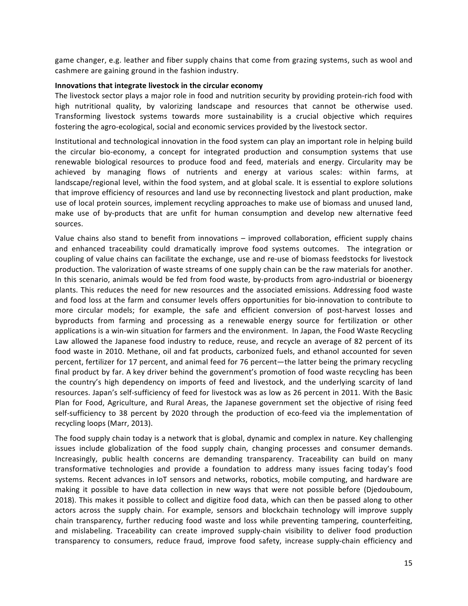game changer, e.g. leather and fiber supply chains that come from grazing systems, such as wool and cashmere are gaining ground in the fashion industry.

### **Innovations that integrate livestock in the circular economy**

The livestock sector plays a major role in food and nutrition security by providing protein-rich food with high nutritional quality, by valorizing landscape and resources that cannot be otherwise used. Transforming livestock systems towards more sustainability is a crucial objective which requires fostering the agro-ecological, social and economic services provided by the livestock sector.

Institutional and technological innovation in the food system can play an important role in helping build the circular bio-economy, a concept for integrated production and consumption systems that use renewable biological resources to produce food and feed, materials and energy. Circularity may be achieved by managing flows of nutrients and energy at various scales: within farms, at landscape/regional level, within the food system, and at global scale. It is essential to explore solutions that improve efficiency of resources and land use by reconnecting livestock and plant production, make use of local protein sources, implement recycling approaches to make use of biomass and unused land, make use of by-products that are unfit for human consumption and develop new alternative feed sources.

Value chains also stand to benefit from innovations  $-$  improved collaboration, efficient supply chains and enhanced traceability could dramatically improve food systems outcomes. The integration or coupling of value chains can facilitate the exchange, use and re-use of biomass feedstocks for livestock production. The valorization of waste streams of one supply chain can be the raw materials for another. In this scenario, animals would be fed from food waste, by-products from agro-industrial or bioenergy plants. This reduces the need for new resources and the associated emissions. Addressing food waste and food loss at the farm and consumer levels offers opportunities for bio-innovation to contribute to more circular models; for example, the safe and efficient conversion of post-harvest losses and byproducts from farming and processing as a renewable energy source for fertilization or other applications is a win-win situation for farmers and the environment. In Japan, the Food Waste Recycling Law allowed the Japanese food industry to reduce, reuse, and recycle an average of 82 percent of its food waste in 2010. Methane, oil and fat products, carbonized fuels, and ethanol accounted for seven percent, fertilizer for 17 percent, and animal feed for 76 percent—the latter being the primary recycling final product by far. A key driver behind the government's promotion of food waste recycling has been the country's high dependency on imports of feed and livestock, and the underlying scarcity of land resources. Japan's self-sufficiency of feed for livestock was as low as 26 percent in 2011. With the Basic Plan for Food, Agriculture, and Rural Areas, the Japanese government set the objective of rising feed self-sufficiency to 38 percent by 2020 through the production of eco-feed via the implementation of recycling loops (Marr, 2013).

The food supply chain today is a network that is global, dynamic and complex in nature. Key challenging issues include globalization of the food supply chain, changing processes and consumer demands. Increasingly, public health concerns are demanding transparency. Traceability can build on many transformative technologies and provide a foundation to address many issues facing today's food systems. Recent advances in IoT sensors and networks, robotics, mobile computing, and hardware are making it possible to have data collection in new ways that were not possible before (Djedouboum, 2018). This makes it possible to collect and digitize food data, which can then be passed along to other actors across the supply chain. For example, sensors and blockchain technology will improve supply chain transparency, further reducing food waste and loss while preventing tampering, counterfeiting, and mislabeling. Traceability can create improved supply-chain visibility to deliver food production transparency to consumers, reduce fraud, improve food safety, increase supply-chain efficiency and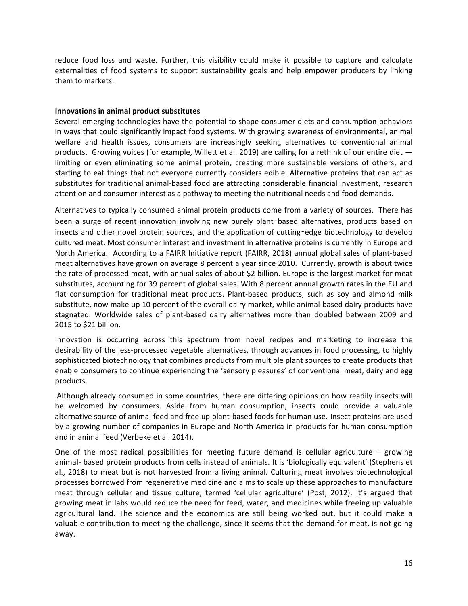reduce food loss and waste. Further, this visibility could make it possible to capture and calculate externalities of food systems to support sustainability goals and help empower producers by linking them to markets.

## **Innovations in animal product substitutes**

Several emerging technologies have the potential to shape consumer diets and consumption behaviors in ways that could significantly impact food systems. With growing awareness of environmental, animal welfare and health issues, consumers are increasingly seeking alternatives to conventional animal products. Growing voices (for example, Willett et al. 2019) are calling for a rethink of our entire diet  $$ limiting or even eliminating some animal protein, creating more sustainable versions of others, and starting to eat things that not everyone currently considers edible. Alternative proteins that can act as substitutes for traditional animal-based food are attracting considerable financial investment, research attention and consumer interest as a pathway to meeting the nutritional needs and food demands.

Alternatives to typically consumed animal protein products come from a variety of sources. There has been a surge of recent innovation involving new purely plant-based alternatives, products based on insects and other novel protein sources, and the application of cutting-edge biotechnology to develop cultured meat. Most consumer interest and investment in alternative proteins is currently in Europe and North America. According to a FAIRR Initiative report (FAIRR, 2018) annual global sales of plant-based meat alternatives have grown on average 8 percent a year since 2010. Currently, growth is about twice the rate of processed meat, with annual sales of about \$2 billion. Europe is the largest market for meat substitutes, accounting for 39 percent of global sales. With 8 percent annual growth rates in the EU and flat consumption for traditional meat products. Plant-based products, such as soy and almond milk substitute, now make up 10 percent of the overall dairy market, while animal-based dairy products have stagnated. Worldwide sales of plant-based dairy alternatives more than doubled between 2009 and 2015 to \$21 billion.

Innovation is occurring across this spectrum from novel recipes and marketing to increase the desirability of the less-processed vegetable alternatives, through advances in food processing, to highly sophisticated biotechnology that combines products from multiple plant sources to create products that enable consumers to continue experiencing the 'sensory pleasures' of conventional meat, dairy and egg products.

Although already consumed in some countries, there are differing opinions on how readily insects will be welcomed by consumers. Aside from human consumption, insects could provide a valuable alternative source of animal feed and free up plant-based foods for human use. Insect proteins are used by a growing number of companies in Europe and North America in products for human consumption and in animal feed (Verbeke et al. 2014).

One of the most radical possibilities for meeting future demand is cellular agriculture  $-$  growing animal- based protein products from cells instead of animals. It is 'biologically equivalent' (Stephens et al., 2018) to meat but is not harvested from a living animal. Culturing meat involves biotechnological processes borrowed from regenerative medicine and aims to scale up these approaches to manufacture meat through cellular and tissue culture, termed 'cellular agriculture' (Post, 2012). It's argued that growing meat in labs would reduce the need for feed, water, and medicines while freeing up valuable agricultural land. The science and the economics are still being worked out, but it could make a valuable contribution to meeting the challenge, since it seems that the demand for meat, is not going away.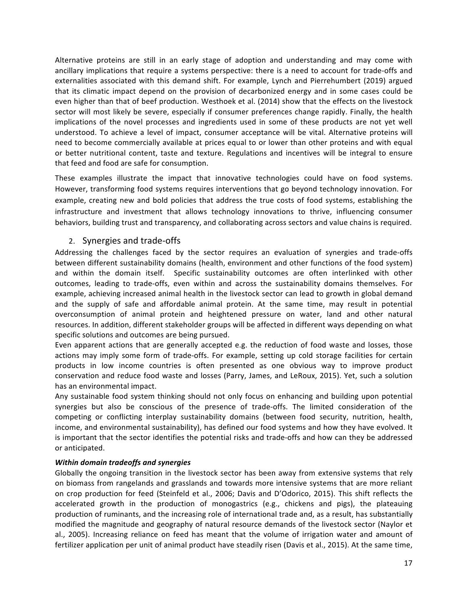Alternative proteins are still in an early stage of adoption and understanding and may come with ancillary implications that require a systems perspective: there is a need to account for trade-offs and externalities associated with this demand shift. For example, Lynch and Pierrehumbert (2019) argued that its climatic impact depend on the provision of decarbonized energy and in some cases could be even higher than that of beef production. Westhoek et al. (2014) show that the effects on the livestock sector will most likely be severe, especially if consumer preferences change rapidly. Finally, the health implications of the novel processes and ingredients used in some of these products are not yet well understood. To achieve a level of impact, consumer acceptance will be vital. Alternative proteins will need to become commercially available at prices equal to or lower than other proteins and with equal or better nutritional content, taste and texture. Regulations and incentives will be integral to ensure that feed and food are safe for consumption.

These examples illustrate the impact that innovative technologies could have on food systems. However, transforming food systems requires interventions that go beyond technology innovation. For example, creating new and bold policies that address the true costs of food systems, establishing the infrastructure and investment that allows technology innovations to thrive, influencing consumer behaviors, building trust and transparency, and collaborating across sectors and value chains is required.

## 2. Synergies and trade-offs

Addressing the challenges faced by the sector requires an evaluation of synergies and trade-offs between different sustainability domains (health, environment and other functions of the food system) and within the domain itself. Specific sustainability outcomes are often interlinked with other outcomes, leading to trade-offs, even within and across the sustainability domains themselves. For example, achieving increased animal health in the livestock sector can lead to growth in global demand and the supply of safe and affordable animal protein. At the same time, may result in potential overconsumption of animal protein and heightened pressure on water, land and other natural resources. In addition, different stakeholder groups will be affected in different ways depending on what specific solutions and outcomes are being pursued.

Even apparent actions that are generally accepted e.g. the reduction of food waste and losses, those actions may imply some form of trade-offs. For example, setting up cold storage facilities for certain products in low income countries is often presented as one obvious way to improve product conservation and reduce food waste and losses (Parry, James, and LeRoux, 2015). Yet, such a solution has an environmental impact.

Any sustainable food system thinking should not only focus on enhancing and building upon potential synergies but also be conscious of the presence of trade-offs. The limited consideration of the competing or conflicting interplay sustainability domains (between food security, nutrition, health, income, and environmental sustainability), has defined our food systems and how they have evolved. It is important that the sector identifies the potential risks and trade-offs and how can they be addressed or anticipated.

## *Within domain tradeoffs and synergies*

Globally the ongoing transition in the livestock sector has been away from extensive systems that rely on biomass from rangelands and grasslands and towards more intensive systems that are more reliant on crop production for feed (Steinfeld et al., 2006; Davis and D'Odorico, 2015). This shift reflects the accelerated growth in the production of monogastrics (e.g., chickens and pigs), the plateauing production of ruminants, and the increasing role of international trade and, as a result, has substantially modified the magnitude and geography of natural resource demands of the livestock sector (Naylor et al., 2005). Increasing reliance on feed has meant that the volume of irrigation water and amount of fertilizer application per unit of animal product have steadily risen (Davis et al., 2015). At the same time,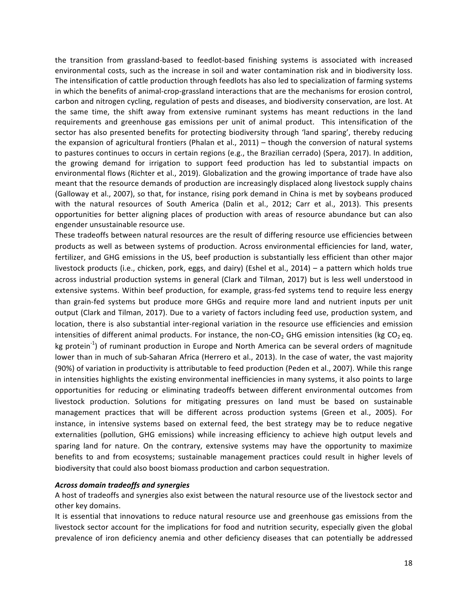the transition from grassland-based to feedlot-based finishing systems is associated with increased environmental costs, such as the increase in soil and water contamination risk and in biodiversity loss. The intensification of cattle production through feedlots has also led to specialization of farming systems in which the benefits of animal-crop-grassland interactions that are the mechanisms for erosion control, carbon and nitrogen cycling, regulation of pests and diseases, and biodiversity conservation, are lost. At the same time, the shift away from extensive ruminant systems has meant reductions in the land requirements and greenhouse gas emissions per unit of animal product. This intensification of the sector has also presented benefits for protecting biodiversity through 'land sparing', thereby reducing the expansion of agricultural frontiers (Phalan et al.,  $2011$ ) – though the conversion of natural systems to pastures continues to occurs in certain regions (e.g., the Brazilian cerrado) (Spera, 2017). In addition, the growing demand for irrigation to support feed production has led to substantial impacts on environmental flows (Richter et al., 2019). Globalization and the growing importance of trade have also meant that the resource demands of production are increasingly displaced along livestock supply chains (Galloway et al., 2007), so that, for instance, rising pork demand in China is met by soybeans produced with the natural resources of South America (Dalin et al., 2012; Carr et al., 2013). This presents opportunities for better aligning places of production with areas of resource abundance but can also engender unsustainable resource use.

These tradeoffs between natural resources are the result of differing resource use efficiencies between products as well as between systems of production. Across environmental efficiencies for land, water, fertilizer, and GHG emissions in the US, beef production is substantially less efficient than other major livestock products (i.e., chicken, pork, eggs, and dairy) (Eshel et al., 2014) – a pattern which holds true across industrial production systems in general (Clark and Tilman, 2017) but is less well understood in extensive systems. Within beef production, for example, grass-fed systems tend to require less energy than grain-fed systems but produce more GHGs and require more land and nutrient inputs per unit output (Clark and Tilman, 2017). Due to a variety of factors including feed use, production system, and location, there is also substantial inter-regional variation in the resource use efficiencies and emission intensities of different animal products. For instance, the non-CO<sub>2</sub> GHG emission intensities (kg CO<sub>2</sub> eq. kg protein<sup>-1</sup>) of ruminant production in Europe and North America can be several orders of magnitude lower than in much of sub-Saharan Africa (Herrero et al., 2013). In the case of water, the vast majority (90%) of variation in productivity is attributable to feed production (Peden et al., 2007). While this range in intensities highlights the existing environmental inefficiencies in many systems, it also points to large opportunities for reducing or eliminating tradeoffs between different environmental outcomes from livestock production. Solutions for mitigating pressures on land must be based on sustainable management practices that will be different across production systems (Green et al., 2005). For instance, in intensive systems based on external feed, the best strategy may be to reduce negative externalities (pollution, GHG emissions) while increasing efficiency to achieve high output levels and sparing land for nature. On the contrary, extensive systems may have the opportunity to maximize benefits to and from ecosystems; sustainable management practices could result in higher levels of biodiversity that could also boost biomass production and carbon sequestration.

#### *Across domain tradeoffs and synergies*

A host of tradeoffs and synergies also exist between the natural resource use of the livestock sector and other key domains.

It is essential that innovations to reduce natural resource use and greenhouse gas emissions from the livestock sector account for the implications for food and nutrition security, especially given the global prevalence of iron deficiency anemia and other deficiency diseases that can potentially be addressed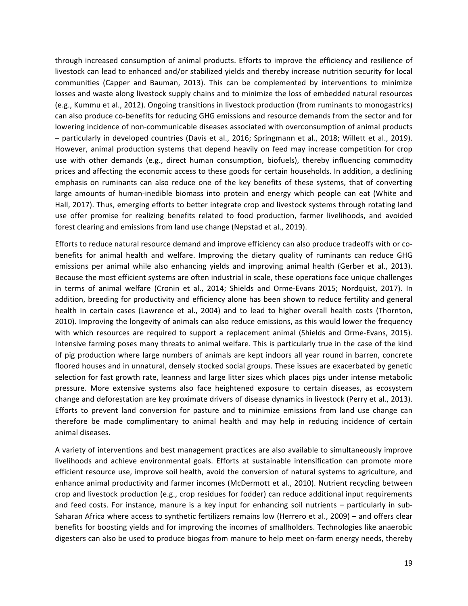through increased consumption of animal products. Efforts to improve the efficiency and resilience of livestock can lead to enhanced and/or stabilized yields and thereby increase nutrition security for local communities (Capper and Bauman, 2013). This can be complemented by interventions to minimize losses and waste along livestock supply chains and to minimize the loss of embedded natural resources (e.g., Kummu et al., 2012). Ongoing transitions in livestock production (from ruminants to monogastrics) can also produce co-benefits for reducing GHG emissions and resource demands from the sector and for lowering incidence of non-communicable diseases associated with overconsumption of animal products – particularly in developed countries (Davis et al., 2016; Springmann et al., 2018; Willett et al., 2019). However, animal production systems that depend heavily on feed may increase competition for crop use with other demands (e.g., direct human consumption, biofuels), thereby influencing commodity prices and affecting the economic access to these goods for certain households. In addition, a declining emphasis on ruminants can also reduce one of the key benefits of these systems, that of converting large amounts of human-inedible biomass into protein and energy which people can eat (White and Hall, 2017). Thus, emerging efforts to better integrate crop and livestock systems through rotating land use offer promise for realizing benefits related to food production, farmer livelihoods, and avoided forest clearing and emissions from land use change (Nepstad et al., 2019).

Efforts to reduce natural resource demand and improve efficiency can also produce tradeoffs with or cobenefits for animal health and welfare. Improving the dietary quality of ruminants can reduce GHG emissions per animal while also enhancing yields and improving animal health (Gerber et al., 2013). Because the most efficient systems are often industrial in scale, these operations face unique challenges in terms of animal welfare (Cronin et al., 2014; Shields and Orme-Evans 2015; Nordquist, 2017). In addition, breeding for productivity and efficiency alone has been shown to reduce fertility and general health in certain cases (Lawrence et al., 2004) and to lead to higher overall health costs (Thornton, 2010). Improving the longevity of animals can also reduce emissions, as this would lower the frequency with which resources are required to support a replacement animal (Shields and Orme-Evans, 2015). Intensive farming poses many threats to animal welfare. This is particularly true in the case of the kind of pig production where large numbers of animals are kept indoors all year round in barren, concrete floored houses and in unnatural, densely stocked social groups. These issues are exacerbated by genetic selection for fast growth rate, leanness and large litter sizes which places pigs under intense metabolic pressure. More extensive systems also face heightened exposure to certain diseases, as ecosystem change and deforestation are key proximate drivers of disease dynamics in livestock (Perry et al., 2013). Efforts to prevent land conversion for pasture and to minimize emissions from land use change can therefore be made complimentary to animal health and may help in reducing incidence of certain animal diseases.

A variety of interventions and best management practices are also available to simultaneously improve livelihoods and achieve environmental goals. Efforts at sustainable intensification can promote more efficient resource use, improve soil health, avoid the conversion of natural systems to agriculture, and enhance animal productivity and farmer incomes (McDermott et al., 2010). Nutrient recycling between crop and livestock production (e.g., crop residues for fodder) can reduce additional input requirements and feed costs. For instance, manure is a key input for enhancing soil nutrients - particularly in sub-Saharan Africa where access to synthetic fertilizers remains low (Herrero et al., 2009) – and offers clear benefits for boosting yields and for improving the incomes of smallholders. Technologies like anaerobic digesters can also be used to produce biogas from manure to help meet on-farm energy needs, thereby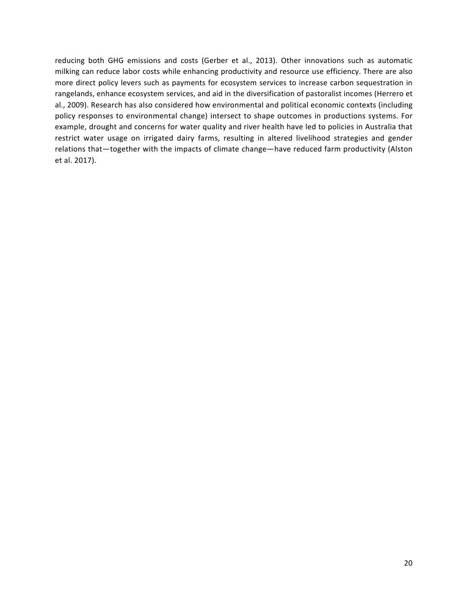reducing both GHG emissions and costs (Gerber et al., 2013). Other innovations such as automatic milking can reduce labor costs while enhancing productivity and resource use efficiency. There are also more direct policy levers such as payments for ecosystem services to increase carbon sequestration in rangelands, enhance ecosystem services, and aid in the diversification of pastoralist incomes (Herrero et al., 2009). Research has also considered how environmental and political economic contexts (including policy responses to environmental change) intersect to shape outcomes in productions systems. For example, drought and concerns for water quality and river health have led to policies in Australia that restrict water usage on irrigated dairy farms, resulting in altered livelihood strategies and gender relations that—together with the impacts of climate change—have reduced farm productivity (Alston et al. 2017).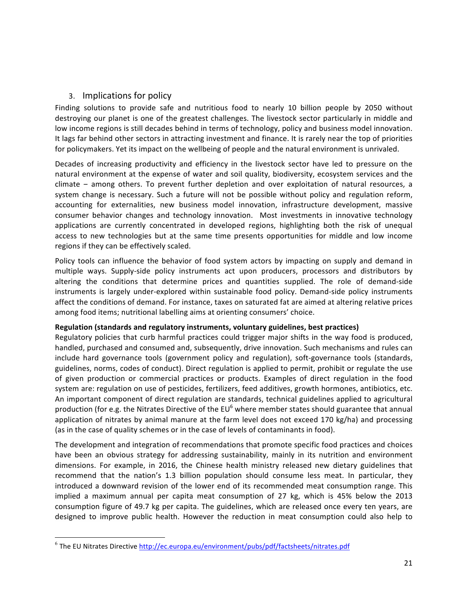## 3. Implications for policy

Finding solutions to provide safe and nutritious food to nearly 10 billion people by 2050 without destroying our planet is one of the greatest challenges. The livestock sector particularly in middle and low income regions is still decades behind in terms of technology, policy and business model innovation. It lags far behind other sectors in attracting investment and finance. It is rarely near the top of priorities for policymakers. Yet its impact on the wellbeing of people and the natural environment is unrivaled.

Decades of increasing productivity and efficiency in the livestock sector have led to pressure on the natural environment at the expense of water and soil quality, biodiversity, ecosystem services and the climate – among others. To prevent further depletion and over exploitation of natural resources, a system change is necessary. Such a future will not be possible without policy and regulation reform, accounting for externalities, new business model innovation, infrastructure development, massive consumer behavior changes and technology innovation. Most investments in innovative technology applications are currently concentrated in developed regions, highlighting both the risk of unequal access to new technologies but at the same time presents opportunities for middle and low income regions if they can be effectively scaled.

Policy tools can influence the behavior of food system actors by impacting on supply and demand in multiple ways. Supply-side policy instruments act upon producers, processors and distributors by altering the conditions that determine prices and quantities supplied. The role of demand-side instruments is largely under-explored within sustainable food policy. Demand-side policy instruments affect the conditions of demand. For instance, taxes on saturated fat are aimed at altering relative prices among food items; nutritional labelling aims at orienting consumers' choice.

## **Regulation (standards and regulatory instruments, voluntary guidelines, best practices)**

Regulatory policies that curb harmful practices could trigger major shifts in the way food is produced, handled, purchased and consumed and, subsequently, drive innovation. Such mechanisms and rules can include hard governance tools (government policy and regulation), soft-governance tools (standards, guidelines, norms, codes of conduct). Direct regulation is applied to permit, prohibit or regulate the use of given production or commercial practices or products. Examples of direct regulation in the food system are: regulation on use of pesticides, fertilizers, feed additives, growth hormones, antibiotics, etc. An important component of direct regulation are standards, technical guidelines applied to agricultural production (for e.g. the Nitrates Directive of the  $EU^6$  where member states should guarantee that annual application of nitrates by animal manure at the farm level does not exceed 170 kg/ha) and processing (as in the case of quality schemes or in the case of levels of contaminants in food).

The development and integration of recommendations that promote specific food practices and choices have been an obvious strategy for addressing sustainability, mainly in its nutrition and environment dimensions. For example, in 2016, the Chinese health ministry released new dietary guidelines that recommend that the nation's 1.3 billion population should consume less meat. In particular, they introduced a downward revision of the lower end of its recommended meat consumption range. This implied a maximum annual per capita meat consumption of 27 kg, which is 45% below the 2013 consumption figure of 49.7 kg per capita. The guidelines, which are released once every ten years, are designed to improve public health. However the reduction in meat consumption could also help to

<u> 1989 - Johann Stein, markin film yn y breninn y breninn y breninn y breninn y breninn y breninn y breninn y b</u>

 $6$  The EU Nitrates Directive http://ec.europa.eu/environment/pubs/pdf/factsheets/nitrates.pdf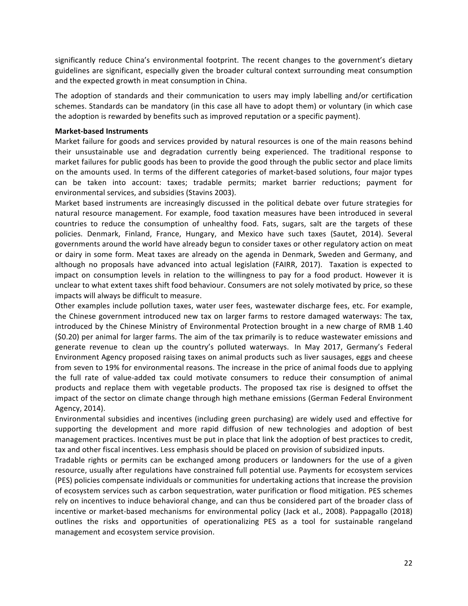significantly reduce China's environmental footprint. The recent changes to the government's dietary guidelines are significant, especially given the broader cultural context surrounding meat consumption and the expected growth in meat consumption in China.

The adoption of standards and their communication to users may imply labelling and/or certification schemes. Standards can be mandatory (in this case all have to adopt them) or voluntary (in which case the adoption is rewarded by benefits such as improved reputation or a specific payment).

### **Market-based Instruments**

Market failure for goods and services provided by natural resources is one of the main reasons behind their unsustainable use and degradation currently being experienced. The traditional response to market failures for public goods has been to provide the good through the public sector and place limits on the amounts used. In terms of the different categories of market-based solutions, four major types can be taken into account: taxes; tradable permits; market barrier reductions; payment for environmental services, and subsidies (Stavins 2003).

Market based instruments are increasingly discussed in the political debate over future strategies for natural resource management. For example, food taxation measures have been introduced in several countries to reduce the consumption of unhealthy food. Fats, sugars, salt are the targets of these policies. Denmark, Finland, France, Hungary, and Mexico have such taxes (Sautet, 2014). Several governments around the world have already begun to consider taxes or other regulatory action on meat or dairy in some form. Meat taxes are already on the agenda in Denmark, Sweden and Germany, and although no proposals have advanced into actual legislation (FAIRR, 2017). Taxation is expected to impact on consumption levels in relation to the willingness to pay for a food product. However it is unclear to what extent taxes shift food behaviour. Consumers are not solely motivated by price, so these impacts will always be difficult to measure.

Other examples include pollution taxes, water user fees, wastewater discharge fees, etc. For example, the Chinese government introduced new tax on larger farms to restore damaged waterways: The tax, introduced by the Chinese Ministry of Environmental Protection brought in a new charge of RMB 1.40 (\$0.20) per animal for larger farms. The aim of the tax primarily is to reduce wastewater emissions and generate revenue to clean up the country's polluted waterways. In May 2017, Germany's Federal Environment Agency proposed raising taxes on animal products such as liver sausages, eggs and cheese from seven to 19% for environmental reasons. The increase in the price of animal foods due to applying the full rate of value-added tax could motivate consumers to reduce their consumption of animal products and replace them with vegetable products. The proposed tax rise is designed to offset the impact of the sector on climate change through high methane emissions (German Federal Environment Agency, 2014).

Environmental subsidies and incentives (including green purchasing) are widely used and effective for supporting the development and more rapid diffusion of new technologies and adoption of best management practices. Incentives must be put in place that link the adoption of best practices to credit, tax and other fiscal incentives. Less emphasis should be placed on provision of subsidized inputs.

Tradable rights or permits can be exchanged among producers or landowners for the use of a given resource, usually after regulations have constrained full potential use. Payments for ecosystem services (PES) policies compensate individuals or communities for undertaking actions that increase the provision of ecosystem services such as carbon sequestration, water purification or flood mitigation. PES schemes rely on incentives to induce behavioral change, and can thus be considered part of the broader class of incentive or market-based mechanisms for environmental policy (Jack et al., 2008). Pappagallo (2018) outlines the risks and opportunities of operationalizing PES as a tool for sustainable rangeland management and ecosystem service provision.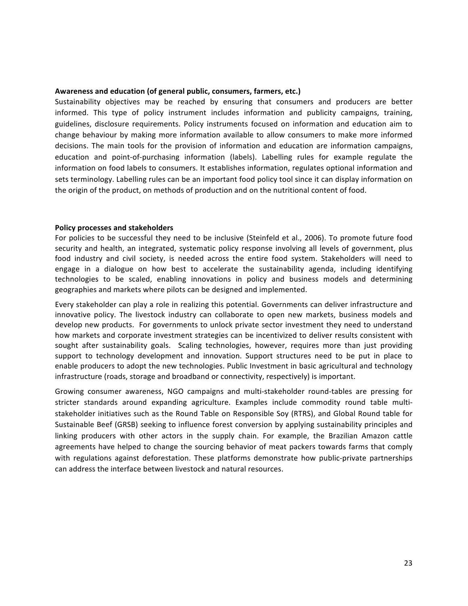#### Awareness and education (of general public, consumers, farmers, etc.)

Sustainability objectives may be reached by ensuring that consumers and producers are better informed. This type of policy instrument includes information and publicity campaigns, training, guidelines, disclosure requirements. Policy instruments focused on information and education aim to change behaviour by making more information available to allow consumers to make more informed decisions. The main tools for the provision of information and education are information campaigns, education and point-of-purchasing information (labels). Labelling rules for example regulate the information on food labels to consumers. It establishes information, regulates optional information and sets terminology. Labelling rules can be an important food policy tool since it can display information on the origin of the product, on methods of production and on the nutritional content of food.

#### **Policy processes and stakeholders**

For policies to be successful they need to be inclusive (Steinfeld et al., 2006). To promote future food security and health, an integrated, systematic policy response involving all levels of government, plus food industry and civil society, is needed across the entire food system. Stakeholders will need to engage in a dialogue on how best to accelerate the sustainability agenda, including identifying technologies to be scaled, enabling innovations in policy and business models and determining geographies and markets where pilots can be designed and implemented.

Every stakeholder can play a role in realizing this potential. Governments can deliver infrastructure and innovative policy. The livestock industry can collaborate to open new markets, business models and develop new products. For governments to unlock private sector investment they need to understand how markets and corporate investment strategies can be incentivized to deliver results consistent with sought after sustainability goals. Scaling technologies, however, requires more than just providing support to technology development and innovation. Support structures need to be put in place to enable producers to adopt the new technologies. Public Investment in basic agricultural and technology infrastructure (roads, storage and broadband or connectivity, respectively) is important.

Growing consumer awareness, NGO campaigns and multi-stakeholder round-tables are pressing for stricter standards around expanding agriculture. Examples include commodity round table multistakeholder initiatives such as the Round Table on Responsible Soy (RTRS), and Global Round table for Sustainable Beef (GRSB) seeking to influence forest conversion by applying sustainability principles and linking producers with other actors in the supply chain. For example, the Brazilian Amazon cattle agreements have helped to change the sourcing behavior of meat packers towards farms that comply with regulations against deforestation. These platforms demonstrate how public-private partnerships can address the interface between livestock and natural resources.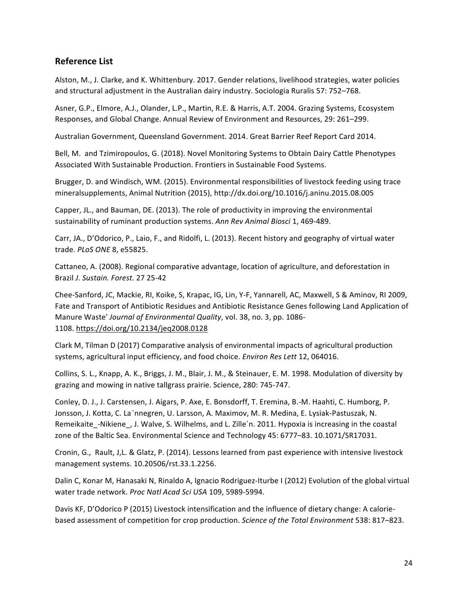## **Reference List**

Alston, M., J. Clarke, and K. Whittenbury. 2017. Gender relations, livelihood strategies, water policies and structural adjustment in the Australian dairy industry. Sociologia Ruralis 57: 752-768.

Asner, G.P., Elmore, A.J., Olander, L.P., Martin, R.E. & Harris, A.T. 2004. Grazing Systems, Ecosystem Responses, and Global Change. Annual Review of Environment and Resources, 29: 261–299.

Australian Government, Queensland Government. 2014. Great Barrier Reef Report Card 2014.

Bell, M. and Tzimiropoulos, G. (2018). Novel Monitoring Systems to Obtain Dairy Cattle Phenotypes Associated With Sustainable Production. Frontiers in Sustainable Food Systems.

Brugger, D. and Windisch, WM. (2015). Environmental responsibilities of livestock feeding using trace mineralsupplements, Animal Nutrition (2015), http://dx.doi.org/10.1016/j.aninu.2015.08.005

Capper, JL., and Bauman, DE. (2013). The role of productivity in improving the environmental sustainability of ruminant production systems. Ann Rev Animal Biosci 1, 469-489.

Carr, JA., D'Odorico, P., Laio, F., and Ridolfi, L. (2013). Recent history and geography of virtual water trade. *PLoS ONE* 8, e55825.

Cattaneo, A. (2008). Regional comparative advantage, location of agriculture, and deforestation in Brazil *J. Sustain. Forest.* 27 25-42

Chee-Sanford, JC, Mackie, RI, Koike, S, Krapac, IG, Lin, Y-F, Yannarell, AC, Maxwell, S & Aminov, RI 2009, Fate and Transport of Antibiotic Residues and Antibiotic Resistance Genes following Land Application of Manure Waste' *Journal of Environmental Quality*, vol. 38, no. 3, pp. 1086-1108. https://doi.org/10.2134/jeq2008.0128

Clark M, Tilman D (2017) Comparative analysis of environmental impacts of agricultural production systems, agricultural input efficiency, and food choice. *Environ Res Lett* 12, 064016.

Collins, S. L., Knapp, A. K., Briggs, J. M., Blair, J. M., & Steinauer, E. M. 1998. Modulation of diversity by grazing and mowing in native tallgrass prairie. Science, 280: 745-747.

Conley, D. J., J. Carstensen, J. Aigars, P. Axe, E. Bonsdorff, T. Eremina, B.-M. Haahti, C. Humborg, P. Jonsson, J. Kotta, C. La nnegren, U. Larsson, A. Maximov, M. R. Medina, E. Lysiak-Pastuszak, N. Remeikaite\_-Nikiene\_, J. Walve, S. Wilhelms, and L. Zille'n. 2011. Hypoxia is increasing in the coastal zone of the Baltic Sea. Environmental Science and Technology 45: 6777-83. 10.1071/SR17031.

Cronin, G., Rault, J,L. & Glatz, P. (2014). Lessons learned from past experience with intensive livestock management systems. 10.20506/rst.33.1.2256.

Dalin C, Konar M, Hanasaki N, Rinaldo A, Ignacio Rodriguez-Iturbe I (2012) Evolution of the global virtual water trade network. Proc Natl Acad Sci USA 109, 5989-5994.

Davis KF, D'Odorico P (2015) Livestock intensification and the influence of dietary change: A caloriebased assessment of competition for crop production. *Science of the Total Environment* 538: 817–823.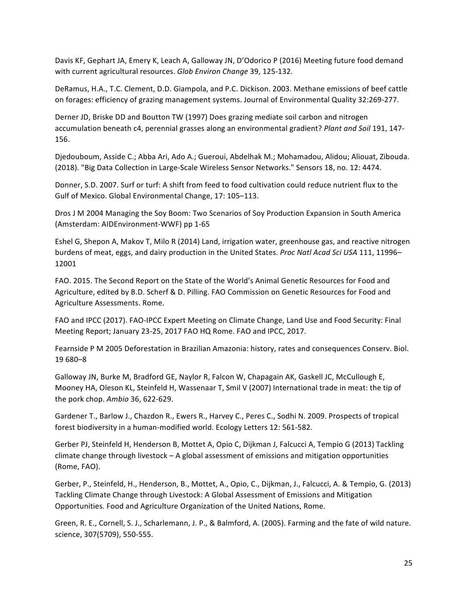Davis KF, Gephart JA, Emery K, Leach A, Galloway JN, D'Odorico P (2016) Meeting future food demand with current agricultural resources. Glob Environ Change 39, 125-132.

DeRamus, H.A., T.C. Clement, D.D. Giampola, and P.C. Dickison. 2003. Methane emissions of beef cattle on forages: efficiency of grazing management systems. Journal of Environmental Quality 32:269-277.

Derner JD, Briske DD and Boutton TW (1997) Does grazing mediate soil carbon and nitrogen accumulation beneath c4, perennial grasses along an environmental gradient? *Plant and Soil* 191, 147-156.

Djedouboum, Asside C.; Abba Ari, Ado A.; Gueroui, Abdelhak M.; Mohamadou, Alidou; Aliouat, Zibouda. (2018). "Big Data Collection in Large-Scale Wireless Sensor Networks." Sensors 18, no. 12: 4474.

Donner, S.D. 2007. Surf or turf: A shift from feed to food cultivation could reduce nutrient flux to the Gulf of Mexico. Global Environmental Change, 17: 105-113.

Dros J M 2004 Managing the Soy Boom: Two Scenarios of Soy Production Expansion in South America (Amsterdam: AIDEnvironment-WWF) pp 1-65

Eshel G, Shepon A, Makov T, Milo R (2014) Land, irrigation water, greenhouse gas, and reactive nitrogen burdens of meat, eggs, and dairy production in the United States. *Proc Natl Acad Sci USA* 111, 11996– 12001

FAO. 2015. The Second Report on the State of the World's Animal Genetic Resources for Food and Agriculture, edited by B.D. Scherf & D. Pilling. FAO Commission on Genetic Resources for Food and Agriculture Assessments. Rome.

FAO and IPCC (2017). FAO-IPCC Expert Meeting on Climate Change, Land Use and Food Security: Final Meeting Report; January 23-25, 2017 FAO HQ Rome. FAO and IPCC, 2017.

Fearnside P M 2005 Deforestation in Brazilian Amazonia: history, rates and consequences Conserv. Biol. 19 680–8

Galloway JN, Burke M, Bradford GE, Naylor R, Falcon W, Chapagain AK, Gaskell JC, McCullough E, Mooney HA, Oleson KL, Steinfeld H, Wassenaar T, Smil V (2007) International trade in meat: the tip of the pork chop. Ambio 36, 622-629.

Gardener T., Barlow J., Chazdon R., Ewers R., Harvey C., Peres C., Sodhi N. 2009. Prospects of tropical forest biodiversity in a human-modified world. Ecology Letters 12: 561-582.

Gerber PJ, Steinfeld H, Henderson B, Mottet A, Opio C, Dijkman J, Falcucci A, Tempio G (2013) Tackling climate change through livestock – A global assessment of emissions and mitigation opportunities (Rome, FAO).

Gerber, P., Steinfeld, H., Henderson, B., Mottet, A., Opio, C., Dijkman, J., Falcucci, A. & Tempio, G. (2013) Tackling Climate Change through Livestock: A Global Assessment of Emissions and Mitigation Opportunities. Food and Agriculture Organization of the United Nations, Rome.

Green, R. E., Cornell, S. J., Scharlemann, J. P., & Balmford, A. (2005). Farming and the fate of wild nature. science, 307(5709), 550-555.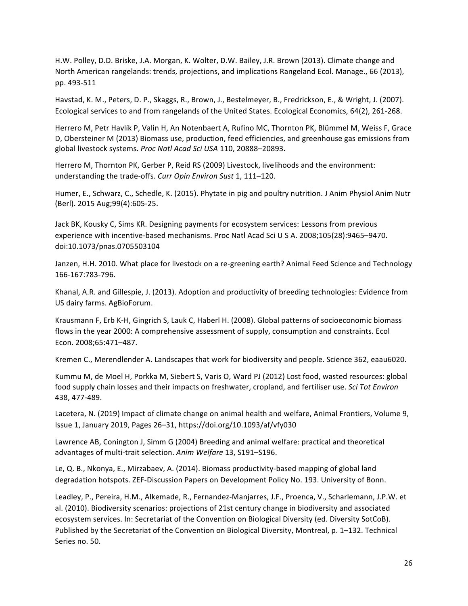H.W. Polley, D.D. Briske, J.A. Morgan, K. Wolter, D.W. Bailey, J.R. Brown (2013). Climate change and North American rangelands: trends, projections, and implications Rangeland Ecol. Manage., 66 (2013), pp. 493-511

Havstad, K. M., Peters, D. P., Skaggs, R., Brown, J., Bestelmeyer, B., Fredrickson, E., & Wright, J. (2007). Ecological services to and from rangelands of the United States. Ecological Economics, 64(2), 261-268.

Herrero M, Petr Havlík P, Valin H, An Notenbaert A, Rufino MC, Thornton PK, Blümmel M, Weiss F, Grace D, Obersteiner M (2013) Biomass use, production, feed efficiencies, and greenhouse gas emissions from global livestock systems. Proc Natl Acad Sci USA 110, 20888-20893.

Herrero M, Thornton PK, Gerber P, Reid RS (2009) Livestock, livelihoods and the environment: understanding the trade-offs. *Curr Opin Environ Sust* 1, 111-120.

Humer, E., Schwarz, C., Schedle, K. (2015). Phytate in pig and poultry nutrition. J Anim Physiol Anim Nutr (Berl). 2015 Aug;99(4):605-25.

Jack BK, Kousky C, Sims KR. Designing payments for ecosystem services: Lessons from previous experience with incentive-based mechanisms. Proc Natl Acad Sci U S A. 2008;105(28):9465-9470. doi:10.1073/pnas.0705503104

Janzen, H.H. 2010. What place for livestock on a re-greening earth? Animal Feed Science and Technology 166-167:783-796.

Khanal, A.R. and Gillespie, J. (2013). Adoption and productivity of breeding technologies: Evidence from US dairy farms. AgBioForum.

Krausmann F, Erb K-H, Gingrich S, Lauk C, Haberl H. (2008). Global patterns of socioeconomic biomass flows in the year 2000: A comprehensive assessment of supply, consumption and constraints. Ecol Econ. 2008;65:471–487.

Kremen C., Merendlender A. Landscapes that work for biodiversity and people. Science 362, eaau6020.

Kummu M, de Moel H, Porkka M, Siebert S, Varis O, Ward PJ (2012) Lost food, wasted resources: global food supply chain losses and their impacts on freshwater, cropland, and fertiliser use. Sci Tot Environ 438, 477-489.

Lacetera, N. (2019) Impact of climate change on animal health and welfare, Animal Frontiers, Volume 9, Issue 1, January 2019, Pages 26-31, https://doi.org/10.1093/af/vfy030

Lawrence AB, Conington J, Simm G (2004) Breeding and animal welfare: practical and theoretical advantages of multi-trait selection. Anim Welfare 13, S191-S196.

Le, Q. B., Nkonya, E., Mirzabaev, A. (2014). Biomass productivity-based mapping of global land degradation hotspots. ZEF-Discussion Papers on Development Policy No. 193. University of Bonn.

Leadley, P., Pereira, H.M., Alkemade, R., Fernandez-Manjarres, J.F., Proenca, V., Scharlemann, J.P.W. et al. (2010). Biodiversity scenarios: projections of 21st century change in biodiversity and associated ecosystem services. In: Secretariat of the Convention on Biological Diversity (ed. Diversity SotCoB). Published by the Secretariat of the Convention on Biological Diversity, Montreal, p. 1–132. Technical Series no. 50.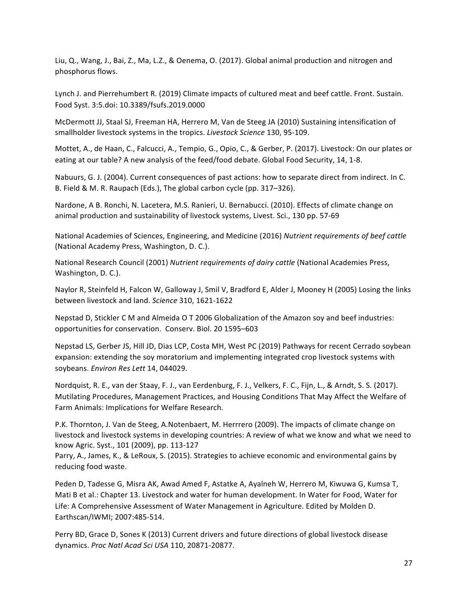Liu, Q., Wang, J., Bai, Z., Ma, L.Z., & Oenema, O. (2017). Global animal production and nitrogen and phosphorus flows.

Lynch J. and Pierrehumbert R. (2019) Climate impacts of cultured meat and beef cattle. Front. Sustain. Food Syst. 3:5.doi: 10.3389/fsufs.2019.0000

McDermott JJ, Staal SJ, Freeman HA, Herrero M, Van de Steeg JA (2010) Sustaining intensification of smallholder livestock systems in the tropics. Livestock Science 130, 95-109.

Mottet, A., de Haan, C., Falcucci, A., Tempio, G., Opio, C., & Gerber, P. (2017). Livestock: On our plates or eating at our table? A new analysis of the feed/food debate. Global Food Security, 14, 1-8.

Nabuurs, G. J. (2004). Current consequences of past actions: how to separate direct from indirect. In C. B. Field & M. R. Raupach (Eds.), The global carbon cycle (pp. 317–326).

Nardone, A B. Ronchi, N. Lacetera, M.S. Ranieri, U. Bernabucci. (2010). Effects of climate change on animal production and sustainability of livestock systems, Livest. Sci., 130 pp. 57-69

National Academies of Sciences, Engineering, and Medicine (2016) Nutrient requirements of beef cattle (National Academy Press, Washington, D. C.).

National Research Council (2001) Nutrient requirements of dairy cattle (National Academies Press, Washington, D. C.).

Naylor R, Steinfeld H, Falcon W, Galloway J, Smil V, Bradford E, Alder J, Mooney H (2005) Losing the links between livestock and land. *Science* 310, 1621-1622

Nepstad D, Stickler C M and Almeida O T 2006 Globalization of the Amazon soy and beef industries: opportunities for conservation. Conserv. Biol. 20 1595-603

Nepstad LS, Gerber JS, Hill JD, Dias LCP, Costa MH, West PC (2019) Pathways for recent Cerrado soybean expansion: extending the soy moratorium and implementing integrated crop livestock systems with soybeans. *Environ Res Lett* 14, 044029.

Nordquist, R. E., van der Staay, F. J., van Eerdenburg, F. J., Velkers, F. C., Fijn, L., & Arndt, S. S. (2017). Mutilating Procedures, Management Practices, and Housing Conditions That May Affect the Welfare of Farm Animals: Implications for Welfare Research.

P.K. Thornton, J. Van de Steeg, A.Notenbaert, M. Herrrero (2009). The impacts of climate change on livestock and livestock systems in developing countries: A review of what we know and what we need to know Agric. Syst., 101 (2009), pp. 113-127

Parry, A., James, K., & LeRoux, S. (2015). Strategies to achieve economic and environmental gains by reducing food waste.

Peden D, Tadesse G, Misra AK, Awad Amed F, Astatke A, Ayalneh W, Herrero M, Kiwuwa G, Kumsa T, Mati B et al.: Chapter 13. Livestock and water for human development. In Water for Food, Water for Life: A Comprehensive Assessment of Water Management in Agriculture. Edited by Molden D. Earthscan/IWMI; 2007:485-514.

Perry BD, Grace D, Sones K (2013) Current drivers and future directions of global livestock disease dynamics. *Proc Natl Acad Sci USA* 110, 20871-20877.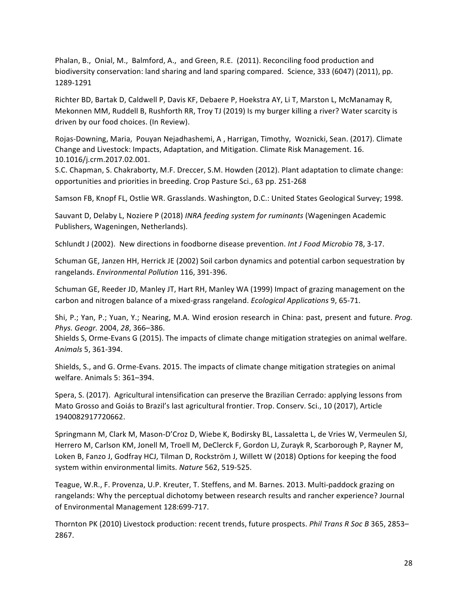Phalan, B., Onial, M., Balmford, A., and Green, R.E. (2011). Reconciling food production and biodiversity conservation: land sharing and land sparing compared. Science, 333 (6047) (2011), pp. 1289-1291

Richter BD, Bartak D, Caldwell P, Davis KF, Debaere P, Hoekstra AY, Li T, Marston L, McManamay R, Mekonnen MM, Ruddell B, Rushforth RR, Troy TJ (2019) Is my burger killing a river? Water scarcity is driven by our food choices. (In Review).

Rojas-Downing, Maria, Pouyan Nejadhashemi, A, Harrigan, Timothy, Woznicki, Sean. (2017). Climate Change and Livestock: Impacts, Adaptation, and Mitigation. Climate Risk Management. 16. 10.1016/j.crm.2017.02.001.

S.C. Chapman, S. Chakraborty, M.F. Dreccer, S.M. Howden (2012). Plant adaptation to climate change: opportunities and priorities in breeding. Crop Pasture Sci., 63 pp. 251-268

Samson FB, Knopf FL, Ostlie WR. Grasslands. Washington, D.C.: United States Geological Survey; 1998.

Sauvant D, Delaby L, Noziere P (2018) *INRA feeding system for ruminants* (Wageningen Academic Publishers, Wageningen, Netherlands).

Schlundt J (2002). New directions in foodborne disease prevention. *Int J Food Microbio* 78, 3-17.

Schuman GE, Janzen HH, Herrick JE (2002) Soil carbon dynamics and potential carbon sequestration by rangelands. *Environmental Pollution* 116, 391-396.

Schuman GE, Reeder JD, Manley JT, Hart RH, Manley WA (1999) Impact of grazing management on the carbon and nitrogen balance of a mixed-grass rangeland. *Ecological Applications* 9, 65-71.

Shi, P.; Yan, P.; Yuan, Y.; Nearing, M.A. Wind erosion research in China: past, present and future. *Prog. Phys. Geogr.* 2004, *28*, 366–386. 

Shields S, Orme-Evans G (2015). The impacts of climate change mitigation strategies on animal welfare. *Animals* 5, 361-394.

Shields, S., and G. Orme-Evans. 2015. The impacts of climate change mitigation strategies on animal welfare. Animals 5: 361-394.

Spera, S. (2017). Agricultural intensification can preserve the Brazilian Cerrado: applying lessons from Mato Grosso and Goiás to Brazil's last agricultural frontier. Trop. Conserv. Sci., 10 (2017), Article 1940082917720662.

Springmann M, Clark M, Mason-D'Croz D, Wiebe K, Bodirsky BL, Lassaletta L, de Vries W, Vermeulen SJ, Herrero M, Carlson KM, Jonell M, Troell M, DeClerck F, Gordon LJ, Zurayk R, Scarborough P, Rayner M, Loken B, Fanzo J, Godfray HCJ, Tilman D, Rockström J, Willett W (2018) Options for keeping the food system within environmental limits. Nature 562, 519-525.

Teague, W.R., F. Provenza, U.P. Kreuter, T. Steffens, and M. Barnes. 2013. Multi-paddock grazing on rangelands: Why the perceptual dichotomy between research results and rancher experience? Journal of Environmental Management 128:699-717.

Thornton PK (2010) Livestock production: recent trends, future prospects. *Phil Trans R Soc B* 365, 2853– 2867.